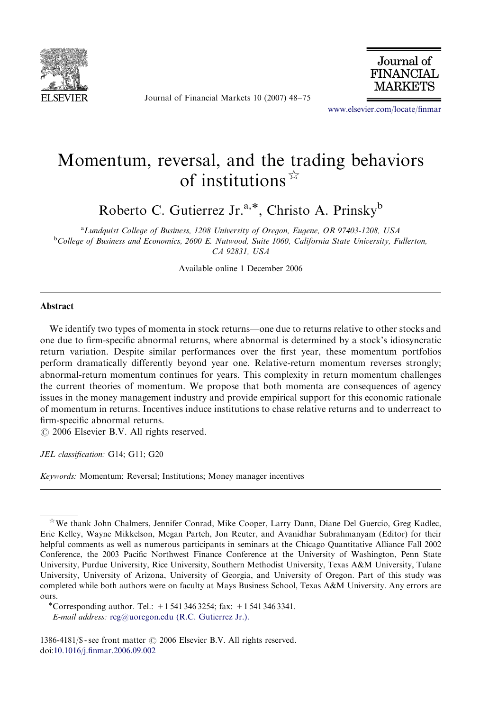

Journal of Financial Markets 10 (2007) 48–75



<www.elsevier.com/locate/finmar>

# Momentum, reversal, and the trading behaviors of institutions  $\mathbb{\hat{R}}$

Roberto C. Gutierrez Jr.<sup>a,\*</sup>, Christo A. Prinsky<sup>b</sup>

<sup>a</sup> Lundquist College of Business, 1208 University of Oregon, Eugene, OR 97403-1208, USA <sup>b</sup>College of Business and Economics, 2600 E. Nutwood, Suite 1060, California State University, Fullerton, CA 92831, USA

Available online 1 December 2006

## Abstract

We identify two types of momenta in stock returns—one due to returns relative to other stocks and one due to firm-specific abnormal returns, where abnormal is determined by a stock's idiosyncratic return variation. Despite similar performances over the first year, these momentum portfolios perform dramatically differently beyond year one. Relative-return momentum reverses strongly; abnormal-return momentum continues for years. This complexity in return momentum challenges the current theories of momentum. We propose that both momenta are consequences of agency issues in the money management industry and provide empirical support for this economic rationale of momentum in returns. Incentives induce institutions to chase relative returns and to underreact to firm-specific abnormal returns.

 $\odot$  2006 Elsevier B.V. All rights reserved.

JEL classification: G14; G11; G20

Keywords: Momentum; Reversal; Institutions; Money manager incentives

<sup>\$</sup>We thank John Chalmers, Jennifer Conrad, Mike Cooper, Larry Dann, Diane Del Guercio, Greg Kadlec, Eric Kelley, Wayne Mikkelson, Megan Partch, Jon Reuter, and Avanidhar Subrahmanyam (Editor) for their helpful comments as well as numerous participants in seminars at the Chicago Quantitative Alliance Fall 2002 Conference, the 2003 Pacific Northwest Finance Conference at the University of Washington, Penn State University, Purdue University, Rice University, Southern Methodist University, Texas A&M University, Tulane University, University of Arizona, University of Georgia, and University of Oregon. Part of this study was completed while both authors were on faculty at Mays Business School, Texas A&M University. Any errors are ours. -

<sup>\*</sup>Corresponding author. Tel.:  $+15413463254$ ; fax:  $+15413463341$ . E-mail address: [rcg@uoregon.edu \(R.C. Gutierrez Jr.\).](mailto:rcg@uoregon.edu)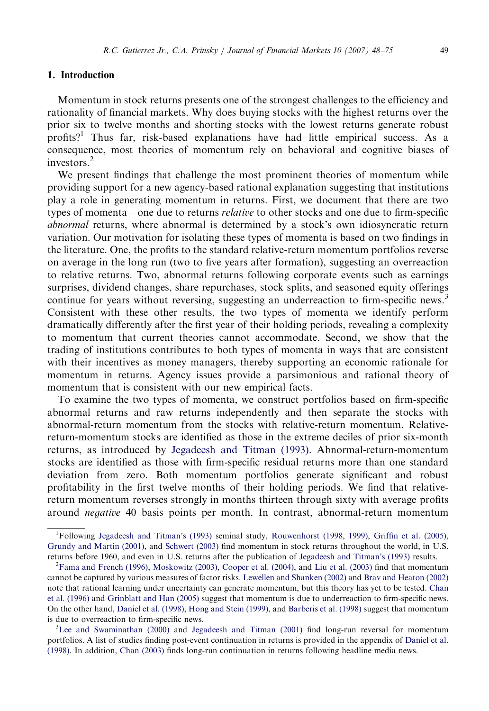## 1. Introduction

Momentum in stock returns presents one of the strongest challenges to the efficiency and rationality of financial markets. Why does buying stocks with the highest returns over the prior six to twelve months and shorting stocks with the lowest returns generate robust profits?<sup>1</sup> Thus far, risk-based explanations have had little empirical success. As a consequence, most theories of momentum rely on behavioral and cognitive biases of investors.<sup>2</sup>

We present findings that challenge the most prominent theories of momentum while providing support for a new agency-based rational explanation suggesting that institutions play a role in generating momentum in returns. First, we document that there are two types of momenta—one due to returns relative to other stocks and one due to firm-specific abnormal returns, where abnormal is determined by a stock's own idiosyncratic return variation. Our motivation for isolating these types of momenta is based on two findings in the literature. One, the profits to the standard relative-return momentum portfolios reverse on average in the long run (two to five years after formation), suggesting an overreaction to relative returns. Two, abnormal returns following corporate events such as earnings surprises, dividend changes, share repurchases, stock splits, and seasoned equity offerings continue for years without reversing, suggesting an underreaction to firm-specific news.<sup>3</sup> Consistent with these other results, the two types of momenta we identify perform dramatically differently after the first year of their holding periods, revealing a complexity to momentum that current theories cannot accommodate. Second, we show that the trading of institutions contributes to both types of momenta in ways that are consistent with their incentives as money managers, thereby supporting an economic rationale for momentum in returns. Agency issues provide a parsimonious and rational theory of momentum that is consistent with our new empirical facts.

To examine the two types of momenta, we construct portfolios based on firm-specific abnormal returns and raw returns independently and then separate the stocks with abnormal-return momentum from the stocks with relative-return momentum. Relativereturn-momentum stocks are identified as those in the extreme deciles of prior six-month returns, as introduced by [Jegadeesh and Titman \(1993\).](#page-26-0) Abnormal-return-momentum stocks are identified as those with firm-specific residual returns more than one standard deviation from zero. Both momentum portfolios generate significant and robust profitability in the first twelve months of their holding periods. We find that relativereturn momentum reverses strongly in months thirteen through sixty with average profits around negative 40 basis points per month. In contrast, abnormal-return momentum

<sup>1</sup> Following [Jegadeesh and Titman's \(1993\)](#page-26-0) seminal study, [Rouwenhorst \(1998, 1999\)](#page-27-0), [Griffin et al. \(2005\)](#page-26-0), [Grundy and Martin \(2001\)](#page-26-0), and [Schwert \(2003\)](#page-27-0) find momentum in stock returns throughout the world, in U.S. returns before 1960, and even in U.S. returns after the publication of [Jegadeesh and Titman's \(1993\)](#page-26-0) results. <sup>2</sup>

 ${}^{2}$ [Fama and French \(1996\),](#page-26-0) [Moskowitz \(2003\)](#page-27-0), [Cooper et al. \(2004\)](#page-26-0), and [Liu et al. \(2003\)](#page-27-0) find that momentum cannot be captured by various measures of factor risks. [Lewellen and Shanken \(2002\)](#page-27-0) and [Brav and Heaton \(2002\)](#page-25-0) note that rational learning under uncertainty can generate momentum, but this theory has yet to be tested. [Chan](#page-26-0) [et al. \(1996\)](#page-26-0) and [Grinblatt and Han \(2005\)](#page-26-0) suggest that momentum is due to underreaction to firm-specific news. On the other hand, [Daniel et al. \(1998\)](#page-26-0), [Hong and Stein \(1999\),](#page-26-0) and [Barberis et al. \(1998\)](#page-25-0) suggest that momentum is due to overreaction to firm-specific news.

 ${}^{3}$ [Lee and Swaminathan \(2000\)](#page-27-0) and [Jegadeesh and Titman \(2001\)](#page-26-0) find long-run reversal for momentum portfolios. A list of studies finding post-event continuation in returns is provided in the appendix of [Daniel et al.](#page-26-0) [\(1998\).](#page-26-0) In addition, [Chan \(2003\)](#page-26-0) finds long-run continuation in returns following headline media news.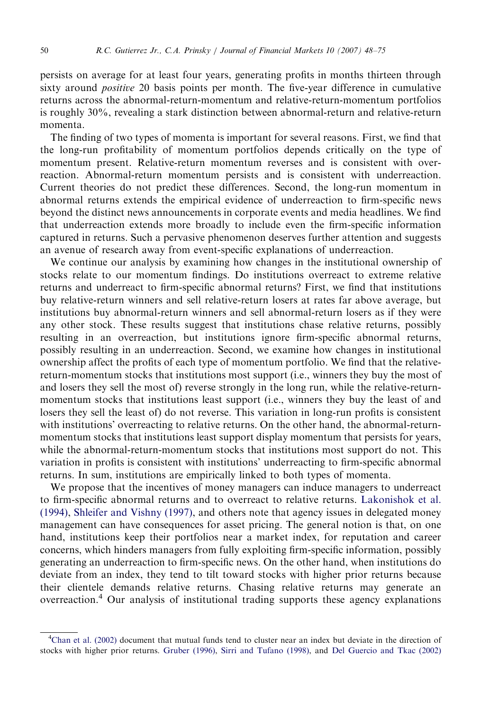persists on average for at least four years, generating profits in months thirteen through sixty around *positive* 20 basis points per month. The five-year difference in cumulative returns across the abnormal-return-momentum and relative-return-momentum portfolios is roughly 30%, revealing a stark distinction between abnormal-return and relative-return momenta.

The finding of two types of momenta is important for several reasons. First, we find that the long-run profitability of momentum portfolios depends critically on the type of momentum present. Relative-return momentum reverses and is consistent with overreaction. Abnormal-return momentum persists and is consistent with underreaction. Current theories do not predict these differences. Second, the long-run momentum in abnormal returns extends the empirical evidence of underreaction to firm-specific news beyond the distinct news announcements in corporate events and media headlines. We find that underreaction extends more broadly to include even the firm-specific information captured in returns. Such a pervasive phenomenon deserves further attention and suggests an avenue of research away from event-specific explanations of underreaction.

We continue our analysis by examining how changes in the institutional ownership of stocks relate to our momentum findings. Do institutions overreact to extreme relative returns and underreact to firm-specific abnormal returns? First, we find that institutions buy relative-return winners and sell relative-return losers at rates far above average, but institutions buy abnormal-return winners and sell abnormal-return losers as if they were any other stock. These results suggest that institutions chase relative returns, possibly resulting in an overreaction, but institutions ignore firm-specific abnormal returns, possibly resulting in an underreaction. Second, we examine how changes in institutional ownership affect the profits of each type of momentum portfolio. We find that the relativereturn-momentum stocks that institutions most support (i.e., winners they buy the most of and losers they sell the most of) reverse strongly in the long run, while the relative-returnmomentum stocks that institutions least support (i.e., winners they buy the least of and losers they sell the least of) do not reverse. This variation in long-run profits is consistent with institutions' overreacting to relative returns. On the other hand, the abnormal-returnmomentum stocks that institutions least support display momentum that persists for years, while the abnormal-return-momentum stocks that institutions most support do not. This variation in profits is consistent with institutions' underreacting to firm-specific abnormal returns. In sum, institutions are empirically linked to both types of momenta.

We propose that the incentives of money managers can induce managers to underreact to firm-specific abnormal returns and to overreact to relative returns. [Lakonishok et al.](#page-27-0) [\(1994\),](#page-27-0) [Shleifer and Vishny \(1997\)](#page-27-0), and others note that agency issues in delegated money management can have consequences for asset pricing. The general notion is that, on one hand, institutions keep their portfolios near a market index, for reputation and career concerns, which hinders managers from fully exploiting firm-specific information, possibly generating an underreaction to firm-specific news. On the other hand, when institutions do deviate from an index, they tend to tilt toward stocks with higher prior returns because their clientele demands relative returns. Chasing relative returns may generate an overreaction.<sup>4</sup> Our analysis of institutional trading supports these agency explanations

<sup>4</sup> [Chan et al. \(2002\)](#page-26-0) document that mutual funds tend to cluster near an index but deviate in the direction of stocks with higher prior returns. [Gruber \(1996\),](#page-26-0) [Sirri and Tufano \(1998\),](#page-27-0) and [Del Guercio and Tkac \(2002\)](#page-26-0)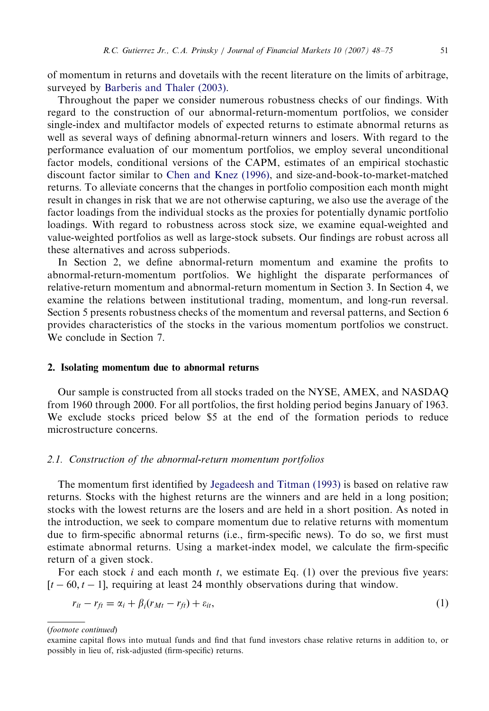of momentum in returns and dovetails with the recent literature on the limits of arbitrage, surveyed by [Barberis and Thaler \(2003\)](#page-25-0).

Throughout the paper we consider numerous robustness checks of our findings. With regard to the construction of our abnormal-return-momentum portfolios, we consider single-index and multifactor models of expected returns to estimate abnormal returns as well as several ways of defining abnormal-return winners and losers. With regard to the performance evaluation of our momentum portfolios, we employ several unconditional factor models, conditional versions of the CAPM, estimates of an empirical stochastic discount factor similar to [Chen and Knez \(1996\)](#page-26-0), and size-and-book-to-market-matched returns. To alleviate concerns that the changes in portfolio composition each month might result in changes in risk that we are not otherwise capturing, we also use the average of the factor loadings from the individual stocks as the proxies for potentially dynamic portfolio loadings. With regard to robustness across stock size, we examine equal-weighted and value-weighted portfolios as well as large-stock subsets. Our findings are robust across all these alternatives and across subperiods.

In Section 2, we define abnormal-return momentum and examine the profits to abnormal-return-momentum portfolios. We highlight the disparate performances of relative-return momentum and abnormal-return momentum in Section 3. In Section 4, we examine the relations between institutional trading, momentum, and long-run reversal. Section 5 presents robustness checks of the momentum and reversal patterns, and Section 6 provides characteristics of the stocks in the various momentum portfolios we construct. We conclude in Section 7.

## 2. Isolating momentum due to abnormal returns

Our sample is constructed from all stocks traded on the NYSE, AMEX, and NASDAQ from 1960 through 2000. For all portfolios, the first holding period begins January of 1963. We exclude stocks priced below \$5 at the end of the formation periods to reduce microstructure concerns.

## 2.1. Construction of the abnormal-return momentum portfolios

The momentum first identified by [Jegadeesh and Titman \(1993\)](#page-26-0) is based on relative raw returns. Stocks with the highest returns are the winners and are held in a long position; stocks with the lowest returns are the losers and are held in a short position. As noted in the introduction, we seek to compare momentum due to relative returns with momentum due to firm-specific abnormal returns (i.e., firm-specific news). To do so, we first must estimate abnormal returns. Using a market-index model, we calculate the firm-specific return of a given stock.

For each stock i and each month t, we estimate Eq.  $(1)$  over the previous five years:  $[t - 60, t - 1]$ , requiring at least 24 monthly observations during that window.

$$
r_{it} - r_{ft} = \alpha_i + \beta_i (r_{Mt} - r_{ft}) + \varepsilon_{it}, \qquad (1)
$$

<sup>(</sup>footnote continued)

examine capital flows into mutual funds and find that fund investors chase relative returns in addition to, or possibly in lieu of, risk-adjusted (firm-specific) returns.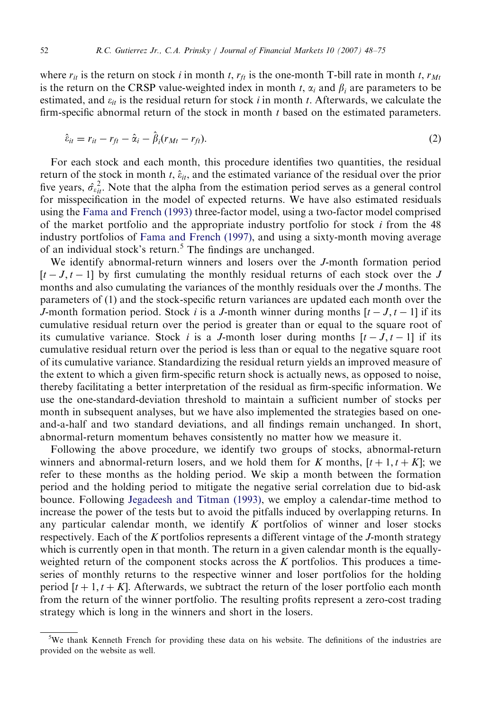where  $r_{it}$  is the return on stock i in month t,  $r_{ft}$  is the one-month T-bill rate in month t,  $r_{Mt}$ is the return on the CRSP value-weighted index in month t,  $\alpha_i$  and  $\beta_i$  are parameters to be estimated, and  $\varepsilon_{it}$  is the residual return for stock *i* in month *t*. Afterwards, we calculate the firm-specific abnormal return of the stock in month  $t$  based on the estimated parameters.

$$
\hat{\varepsilon}_{it} = r_{it} - r_{ft} - \hat{\alpha}_i - \hat{\beta}_i (r_{Mt} - r_{ft}). \tag{2}
$$

For each stock and each month, this procedure identifies two quantities, the residual return of the stock in month t,  $\hat{\varepsilon}_{it}$ , and the estimated variance of the residual over the prior five years,  $\hat{\sigma}_{\epsilon_{it}}^2$ . Note that the alpha from the estimation period serves as a general control for misspecification in the model of expected returns. We have also estimated residuals using the [Fama and French \(1993\)](#page-26-0) three-factor model, using a two-factor model comprised of the market portfolio and the appropriate industry portfolio for stock  $i$  from the 48 industry portfolios of [Fama and French \(1997\)](#page-26-0), and using a sixty-month moving average of an individual stock's return.<sup>5</sup> The findings are unchanged.

We identify abnormal-return winners and losers over the J-month formation period  $[t - J, t - 1]$  by first cumulating the monthly residual returns of each stock over the J months and also cumulating the variances of the monthly residuals over the J months. The parameters of (1) and the stock-specific return variances are updated each month over the J-month formation period. Stock *i* is a J-month winner during months  $[t-J, t-1]$  if its cumulative residual return over the period is greater than or equal to the square root of its cumulative variance. Stock *i* is a *J*-month loser during months  $[t-J, t-1]$  if its cumulative residual return over the period is less than or equal to the negative square root of its cumulative variance. Standardizing the residual return yields an improved measure of the extent to which a given firm-specific return shock is actually news, as opposed to noise, thereby facilitating a better interpretation of the residual as firm-specific information. We use the one-standard-deviation threshold to maintain a sufficient number of stocks per month in subsequent analyses, but we have also implemented the strategies based on oneand-a-half and two standard deviations, and all findings remain unchanged. In short, abnormal-return momentum behaves consistently no matter how we measure it.

Following the above procedure, we identify two groups of stocks, abnormal-return winners and abnormal-return losers, and we hold them for K months,  $[t+1, t+K]$ ; we refer to these months as the holding period. We skip a month between the formation period and the holding period to mitigate the negative serial correlation due to bid-ask bounce. Following [Jegadeesh and Titman \(1993\)](#page-26-0), we employ a calendar-time method to increase the power of the tests but to avoid the pitfalls induced by overlapping returns. In any particular calendar month, we identify  $K$  portfolios of winner and loser stocks respectively. Each of the K portfolios represents a different vintage of the J-month strategy which is currently open in that month. The return in a given calendar month is the equallyweighted return of the component stocks across the  $K$  portfolios. This produces a timeseries of monthly returns to the respective winner and loser portfolios for the holding period  $[t + 1, t + K]$ . Afterwards, we subtract the return of the loser portfolio each month from the return of the winner portfolio. The resulting profits represent a zero-cost trading strategy which is long in the winners and short in the losers.

<sup>&</sup>lt;sup>5</sup>We thank Kenneth French for providing these data on his website. The definitions of the industries are provided on the website as well.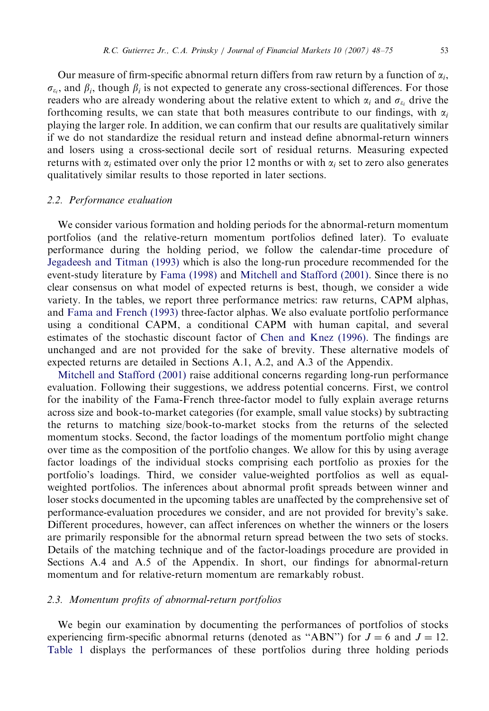Our measure of firm-specific abnormal return differs from raw return by a function of  $\alpha_i$ ,  $\sigma_{\varepsilon_i}$ , and  $\beta_i$ , though  $\beta_i$  is not expected to generate any cross-sectional differences. For those readers who are already wondering about the relative extent to which  $\alpha_i$  and  $\sigma_{\varepsilon_i}$  drive the forthcoming results, we can state that both measures contribute to our findings, with  $\alpha_i$ playing the larger role. In addition, we can confirm that our results are qualitatively similar if we do not standardize the residual return and instead define abnormal-return winners and losers using a cross-sectional decile sort of residual returns. Measuring expected returns with  $\alpha_i$  estimated over only the prior 12 months or with  $\alpha_i$  set to zero also generates qualitatively similar results to those reported in later sections.

## 2.2. Performance evaluation

We consider various formation and holding periods for the abnormal-return momentum portfolios (and the relative-return momentum portfolios defined later). To evaluate performance during the holding period, we follow the calendar-time procedure of [Jegadeesh and Titman \(1993\)](#page-26-0) which is also the long-run procedure recommended for the event-study literature by [Fama \(1998\)](#page-26-0) and [Mitchell and Stafford \(2001\).](#page-27-0) Since there is no clear consensus on what model of expected returns is best, though, we consider a wide variety. In the tables, we report three performance metrics: raw returns, CAPM alphas, and [Fama and French \(1993\)](#page-26-0) three-factor alphas. We also evaluate portfolio performance using a conditional CAPM, a conditional CAPM with human capital, and several estimates of the stochastic discount factor of [Chen and Knez \(1996\)](#page-26-0). The findings are unchanged and are not provided for the sake of brevity. These alternative models of expected returns are detailed in Sections A.1, A.2, and A.3 of the Appendix.

[Mitchell and Stafford \(2001\)](#page-27-0) raise additional concerns regarding long-run performance evaluation. Following their suggestions, we address potential concerns. First, we control for the inability of the Fama-French three-factor model to fully explain average returns across size and book-to-market categories (for example, small value stocks) by subtracting the returns to matching size/book-to-market stocks from the returns of the selected momentum stocks. Second, the factor loadings of the momentum portfolio might change over time as the composition of the portfolio changes. We allow for this by using average factor loadings of the individual stocks comprising each portfolio as proxies for the portfolio's loadings. Third, we consider value-weighted portfolios as well as equalweighted portfolios. The inferences about abnormal profit spreads between winner and loser stocks documented in the upcoming tables are unaffected by the comprehensive set of performance-evaluation procedures we consider, and are not provided for brevity's sake. Different procedures, however, can affect inferences on whether the winners or the losers are primarily responsible for the abnormal return spread between the two sets of stocks. Details of the matching technique and of the factor-loadings procedure are provided in Sections A.4 and A.5 of the Appendix. In short, our findings for abnormal-return momentum and for relative-return momentum are remarkably robust.

## 2.3. Momentum profits of abnormal-return portfolios

We begin our examination by documenting the performances of portfolios of stocks experiencing firm-specific abnormal returns (denoted as "ABN") for  $J = 6$  and  $J = 12$ . [Table 1](#page-6-0) displays the performances of these portfolios during three holding periods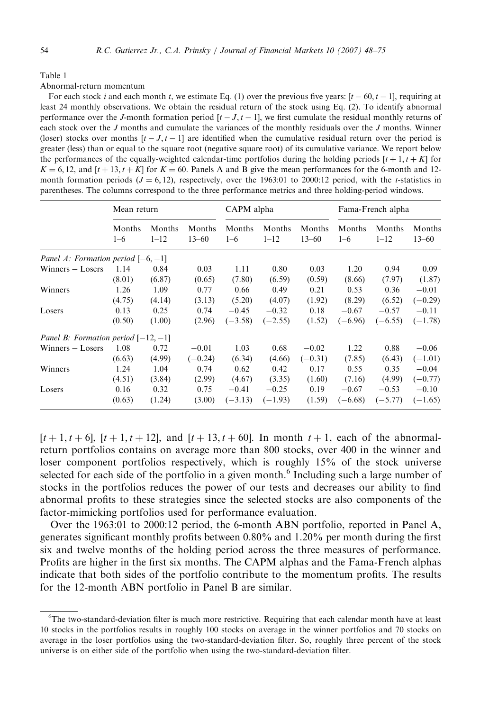<span id="page-6-0"></span>Abnormal-return momentum

For each stock *i* and each month *t*, we estimate Eq. (1) over the previous five years:  $[t - 60, t - 1]$ , requiring at least 24 monthly observations. We obtain the residual return of the stock using Eq. (2). To identify abnormal performance over the *J*-month formation period  $[t - J, t - 1]$ , we first cumulate the residual monthly returns of each stock over the J months and cumulate the variances of the monthly residuals over the J months. Winner (loser) stocks over months  $[t - J, t - 1]$  are identified when the cumulative residual return over the period is greater (less) than or equal to the square root (negative square root) of its cumulative variance. We report below the performances of the equally-weighted calendar-time portfolios during the holding periods  $[t + 1, t + K]$  for  $K = 6, 12,$  and  $[t + 13, t + K]$  for  $K = 60$ . Panels A and B give the mean performances for the 6-month and 12month formation periods  $(J = 6, 12)$ , respectively, over the 1963:01 to 2000:12 period, with the t-statistics in parentheses. The columns correspond to the three performance metrics and three holding-period windows.

|                                       | Mean return       |                    |                     |                   | CAPM alpha         |                     |                   | Fama-French alpha  |                     |  |
|---------------------------------------|-------------------|--------------------|---------------------|-------------------|--------------------|---------------------|-------------------|--------------------|---------------------|--|
|                                       | Months<br>$1 - 6$ | Months<br>$1 - 12$ | Months<br>$13 - 60$ | Months<br>$1 - 6$ | Months<br>$1 - 12$ | Months<br>$13 - 60$ | Months<br>$1 - 6$ | Months<br>$1 - 12$ | Months<br>$13 - 60$ |  |
| Panel A: Formation period $[-6, -1]$  |                   |                    |                     |                   |                    |                     |                   |                    |                     |  |
| Winners – Losers                      | 1.14              | 0.84               | 0.03                | 1.11              | 0.80               | 0.03                | 1.20              | 0.94               | 0.09                |  |
|                                       | (8.01)            | (6.87)             | (0.65)              | (7.80)            | (6.59)             | (0.59)              | (8.66)            | (7.97)             | (1.87)              |  |
| Winners                               | 1.26              | 1.09               | 0.77                | 0.66              | 0.49               | 0.21                | 0.53              | 0.36               | $-0.01$             |  |
|                                       | (4.75)            | (4.14)             | (3.13)              | (5.20)            | (4.07)             | (1.92)              | (8.29)            | (6.52)             | $(-0.29)$           |  |
| Losers                                | 0.13              | 0.25               | 0.74                | $-0.45$           | $-0.32$            | 0.18                | $-0.67$           | $-0.57$            | $-0.11$             |  |
|                                       | (0.50)            | (1.00)             | (2.96)              | $(-3.58)$         | $(-2.55)$          | (1.52)              | $(-6.96)$         | $(-6.55)$          | $(-1.78)$           |  |
| Panel B: Formation period $[-12, -1]$ |                   |                    |                     |                   |                    |                     |                   |                    |                     |  |
| $Winners - Lossers$                   | 1.08              | 0.72               | $-0.01$             | 1.03              | 0.68               | $-0.02$             | 1.22              | 0.88               | $-0.06$             |  |
|                                       | (6.63)            | (4.99)             | $(-0.24)$           | (6.34)            | (4.66)             | $(-0.31)$           | (7.85)            | (6.43)             | $(-1.01)$           |  |
| Winners                               | 1.24              | 1.04               | 0.74                | 0.62              | 0.42               | 0.17                | 0.55              | 0.35               | $-0.04$             |  |
|                                       | (4.51)            | (3.84)             | (2.99)              | (4.67)            | (3.35)             | (1.60)              | (7.16)            | (4.99)             | $(-0.77)$           |  |
| Losers                                | 0.16              | 0.32               | 0.75                | $-0.41$           | $-0.25$            | 0.19                | $-0.67$           | $-0.53$            | $-0.10$             |  |
|                                       | (0.63)            | (1.24)             | (3.00)              | $(-3.13)$         | $(-1.93)$          | (1.59)              | $(-6.68)$         | $(-5.77)$          | $(-1.65)$           |  |

 $[t + 1, t + 6]$ ,  $[t + 1, t + 12]$ , and  $[t + 13, t + 60]$ . In month  $t + 1$ , each of the abnormalreturn portfolios contains on average more than 800 stocks, over 400 in the winner and loser component portfolios respectively, which is roughly 15% of the stock universe selected for each side of the portfolio in a given month.<sup>6</sup> Including such a large number of stocks in the portfolios reduces the power of our tests and decreases our ability to find abnormal profits to these strategies since the selected stocks are also components of the factor-mimicking portfolios used for performance evaluation.

Over the 1963:01 to 2000:12 period, the 6-month ABN portfolio, reported in Panel A, generates significant monthly profits between 0.80% and 1.20% per month during the first six and twelve months of the holding period across the three measures of performance. Profits are higher in the first six months. The CAPM alphas and the Fama-French alphas indicate that both sides of the portfolio contribute to the momentum profits. The results for the 12-month ABN portfolio in Panel B are similar.

<sup>6</sup> The two-standard-deviation filter is much more restrictive. Requiring that each calendar month have at least 10 stocks in the portfolios results in roughly 100 stocks on average in the winner portfolios and 70 stocks on average in the loser portfolios using the two-standard-deviation filter. So, roughly three percent of the stock universe is on either side of the portfolio when using the two-standard-deviation filter.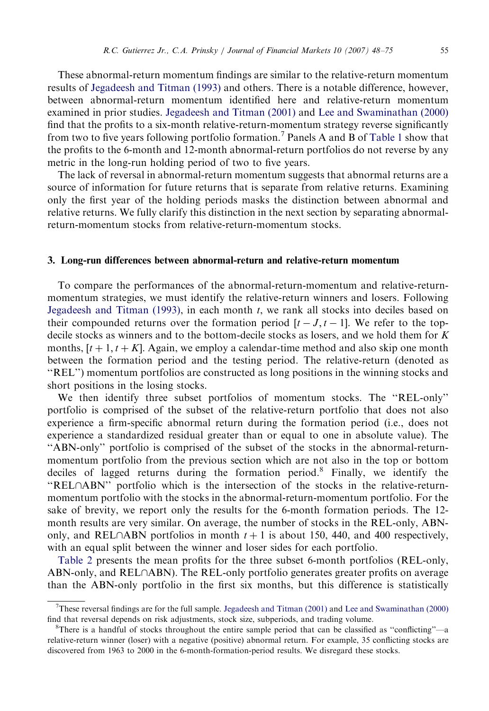These abnormal-return momentum findings are similar to the relative-return momentum results of [Jegadeesh and Titman \(1993\)](#page-26-0) and others. There is a notable difference, however, between abnormal-return momentum identified here and relative-return momentum examined in prior studies. [Jegadeesh and Titman \(2001\)](#page-26-0) and [Lee and Swaminathan \(2000\)](#page-27-0) find that the profits to a six-month relative-return-momentum strategy reverse significantly from two to five years following portfolio formation.<sup>7</sup> Panels A and B of [Table 1](#page-6-0) show that the profits to the 6-month and 12-month abnormal-return portfolios do not reverse by any metric in the long-run holding period of two to five years.

The lack of reversal in abnormal-return momentum suggests that abnormal returns are a source of information for future returns that is separate from relative returns. Examining only the first year of the holding periods masks the distinction between abnormal and relative returns. We fully clarify this distinction in the next section by separating abnormalreturn-momentum stocks from relative-return-momentum stocks.

## 3. Long-run differences between abnormal-return and relative-return momentum

To compare the performances of the abnormal-return-momentum and relative-returnmomentum strategies, we must identify the relative-return winners and losers. Following Jegadeesh and Titman  $(1993)$ , in each month t, we rank all stocks into deciles based on their compounded returns over the formation period  $[t-J, t-1]$ . We refer to the topdecile stocks as winners and to the bottom-decile stocks as losers, and we hold them for K months,  $[t + 1, t + K]$ . Again, we employ a calendar-time method and also skip one month between the formation period and the testing period. The relative-return (denoted as ''REL'') momentum portfolios are constructed as long positions in the winning stocks and short positions in the losing stocks.

We then identify three subset portfolios of momentum stocks. The ''REL-only'' portfolio is comprised of the subset of the relative-return portfolio that does not also experience a firm-specific abnormal return during the formation period (i.e., does not experience a standardized residual greater than or equal to one in absolute value). The ''ABN-only'' portfolio is comprised of the subset of the stocks in the abnormal-returnmomentum portfolio from the previous section which are not also in the top or bottom deciles of lagged returns during the formation period.<sup>8</sup> Finally, we identify the ''REL\ABN'' portfolio which is the intersection of the stocks in the relative-returnmomentum portfolio with the stocks in the abnormal-return-momentum portfolio. For the sake of brevity, we report only the results for the 6-month formation periods. The 12 month results are very similar. On average, the number of stocks in the REL-only, ABNonly, and REL $\cap$ ABN portfolios in month  $t + 1$  is about 150, 440, and 400 respectively, with an equal split between the winner and loser sides for each portfolio.

[Table 2](#page-8-0) presents the mean profits for the three subset 6-month portfolios (REL-only, ABN-only, and REL $\cap$ ABN). The REL-only portfolio generates greater profits on average than the ABN-only portfolio in the first six months, but this difference is statistically

<sup>7</sup> These reversal findings are for the full sample. [Jegadeesh and Titman \(2001\)](#page-26-0) and [Lee and Swaminathan \(2000\)](#page-27-0) find that reversal depends on risk adjustments, stock size, subperiods, and trading volume. <sup>8</sup>

 ${}^8$ There is a handful of stocks throughout the entire sample period that can be classified as "conflicting"—a relative-return winner (loser) with a negative (positive) abnormal return. For example, 35 conflicting stocks are discovered from 1963 to 2000 in the 6-month-formation-period results. We disregard these stocks.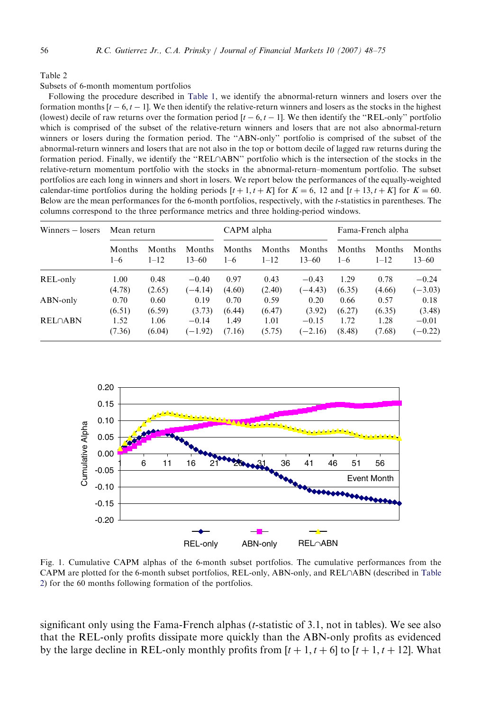<span id="page-8-0"></span>Subsets of 6-month momentum portfolios

Following the procedure described in [Table 1](#page-6-0), we identify the abnormal-return winners and losers over the formation months  $[t - 6, t - 1]$ . We then identify the relative-return winners and losers as the stocks in the highest (lowest) decile of raw returns over the formation period  $[t - 6, t - 1]$ . We then identify the "REL-only" portfolio which is comprised of the subset of the relative-return winners and losers that are not also abnormal-return winners or losers during the formation period. The ''ABN-only'' portfolio is comprised of the subset of the abnormal-return winners and losers that are not also in the top or bottom decile of lagged raw returns during the formation period. Finally, we identify the "REL $\cap$ ABN" portfolio which is the intersection of the stocks in the relative-return momentum portfolio with the stocks in the abnormal-return–momentum portfolio. The subset portfolios are each long in winners and short in losers. We report below the performances of the equally-weighted calendar-time portfolios during the holding periods  $[t + 1, t + K]$  for  $K = 6$ , 12 and  $[t + 13, t + K]$  for  $K = 60$ . Below are the mean performances for the 6-month portfolios, respectively, with the t-statistics in parentheses. The columns correspond to the three performance metrics and three holding-period windows.

| Winners – losers | Mean return       |                    |                     | CAPM alpha        |                    |                     | Fama-French alpha |                    |                     |
|------------------|-------------------|--------------------|---------------------|-------------------|--------------------|---------------------|-------------------|--------------------|---------------------|
|                  | Months<br>$1 - 6$ | Months<br>$1 - 12$ | Months<br>$13 - 60$ | Months<br>$1 - 6$ | Months<br>$1 - 12$ | Months<br>$13 - 60$ | Months<br>$1 - 6$ | Months<br>$1 - 12$ | Months<br>$13 - 60$ |
| REL-only         | 1.00              | 0.48               | $-0.40$             | 0.97              | 0.43               | $-0.43$             | 1.29              | 0.78               | $-0.24$             |
|                  | (4.78)            | (2.65)             | $(-4.14)$           | (4.60)            | (2.40)             | $(-4.43)$           | (6.35)            | (4.66)             | $(-3.03)$           |
| ABN-only         | 0.70              | 0.60               | 0.19                | 0.70              | 0.59               | 0.20                | 0.66              | 0.57               | 0.18                |
|                  | (6.51)            | (6.59)             | (3.73)              | (6.44)            | (6.47)             | (3.92)              | (6.27)            | (6.35)             | (3.48)              |
| <b>RELOABN</b>   | 1.52              | 1.06               | $-0.14$             | 1.49              | 1.01               | $-0.15$             | 1.72              | 1.28               | $-0.01$             |
|                  | (7.36)            | (6.04)             | $(-1.92)$           | (7.16)            | (5.75)             | $(-2.16)$           | (8.48)            | (7.68)             | $(-0.22)$           |



Fig. 1. Cumulative CAPM alphas of the 6-month subset portfolios. The cumulative performances from the CAPM are plotted for the 6-month subset portfolios, REL-only, ABN-only, and REL\ABN (described in Table 2) for the 60 months following formation of the portfolios.

significant only using the Fama-French alphas (*t*-statistic of 3.1, not in tables). We see also that the REL-only profits dissipate more quickly than the ABN-only profits as evidenced by the large decline in REL-only monthly profits from  $[t + 1, t + 6]$  to  $[t + 1, t + 12]$ . What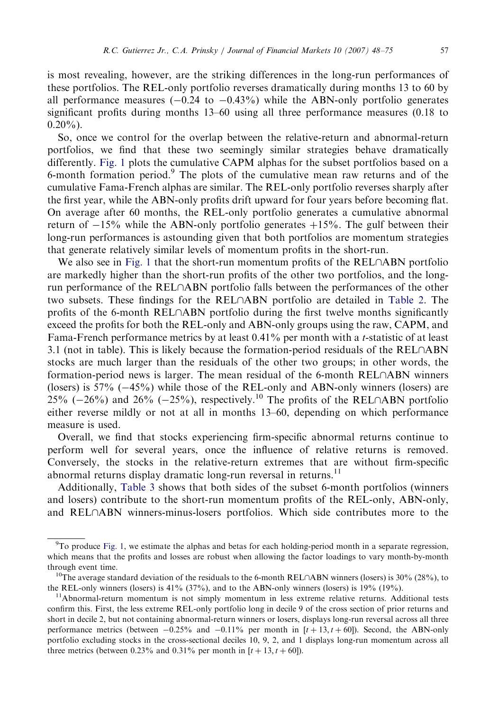is most revealing, however, are the striking differences in the long-run performances of these portfolios. The REL-only portfolio reverses dramatically during months 13 to 60 by all performance measures  $(-0.24 \text{ to } -0.43\%)$  while the ABN-only portfolio generates significant profits during months 13–60 using all three performance measures (0.18 to  $0.20\%$ ).

So, once we control for the overlap between the relative-return and abnormal-return portfolios, we find that these two seemingly similar strategies behave dramatically differently. [Fig. 1](#page-8-0) plots the cumulative CAPM alphas for the subset portfolios based on a 6-month formation period.<sup>9</sup> The plots of the cumulative mean raw returns and of the cumulative Fama-French alphas are similar. The REL-only portfolio reverses sharply after the first year, while the ABN-only profits drift upward for four years before becoming flat. On average after 60 months, the REL-only portfolio generates a cumulative abnormal return of  $-15\%$  while the ABN-only portfolio generates  $+15\%$ . The gulf between their long-run performances is astounding given that both portfolios are momentum strategies that generate relatively similar levels of momentum profits in the short-run.

We also see in [Fig. 1](#page-8-0) that the short-run momentum profits of the RELOABN portfolio are markedly higher than the short-run profits of the other two portfolios, and the longrun performance of the REL $\cap$ ABN portfolio falls between the performances of the other two subsets. These findings for the REL\ABN portfolio are detailed in [Table 2.](#page-8-0) The profits of the 6-month REL $\cap$ ABN portfolio during the first twelve months significantly exceed the profits for both the REL-only and ABN-only groups using the raw, CAPM, and Fama-French performance metrics by at least  $0.41\%$  per month with a *t*-statistic of at least 3.1 (not in table). This is likely because the formation-period residuals of the  $REL \cap ABN$ stocks are much larger than the residuals of the other two groups; in other words, the formation-period news is larger. The mean residual of the 6-month  $REL\cap ABN$  winners (losers) is  $57\%$  ( $-45\%$ ) while those of the REL-only and ABN-only winners (losers) are 25%  $(-26)$  and 26%  $(-25)$ , respectively.<sup>10</sup> The profits of the REL $\cap$ ABN portfolio either reverse mildly or not at all in months 13–60, depending on which performance measure is used.

Overall, we find that stocks experiencing firm-specific abnormal returns continue to perform well for several years, once the influence of relative returns is removed. Conversely, the stocks in the relative-return extremes that are without firm-specific abnormal returns display dramatic long-run reversal in returns.<sup>11</sup>

Additionally, [Table 3](#page-10-0) shows that both sides of the subset 6-month portfolios (winners and losers) contribute to the short-run momentum profits of the REL-only, ABN-only, and REL $\cap$ ABN winners-minus-losers portfolios. Which side contributes more to the

 $^{9}$ To produce [Fig. 1,](#page-8-0) we estimate the alphas and betas for each holding-period month in a separate regression, which means that the profits and losses are robust when allowing the factor loadings to vary month-by-month through event time.

<sup>&</sup>lt;sup>10</sup>The average standard deviation of the residuals to the 6-month REL $\triangle$ ABN winners (losers) is 30% (28%), to the REL-only winners (losers) is 41% (37%), and to the ABN-only winners (losers) is 19% (19%).<br><sup>11</sup>Abnormal-return momentum is not simply momentum in less extreme relative returns. Additional tests

confirm this. First, the less extreme REL-only portfolio long in decile 9 of the cross section of prior returns and short in decile 2, but not containing abnormal-return winners or losers, displays long-run reversal across all three performance metrics (between  $-0.25\%$  and  $-0.11\%$  per month in [t + 13,t + 60]). Second, the ABN-only portfolio excluding stocks in the cross-sectional deciles 10, 9, 2, and 1 displays long-run momentum across all three metrics (between 0.23% and 0.31% per month in  $[t + 13, t + 60]$ ).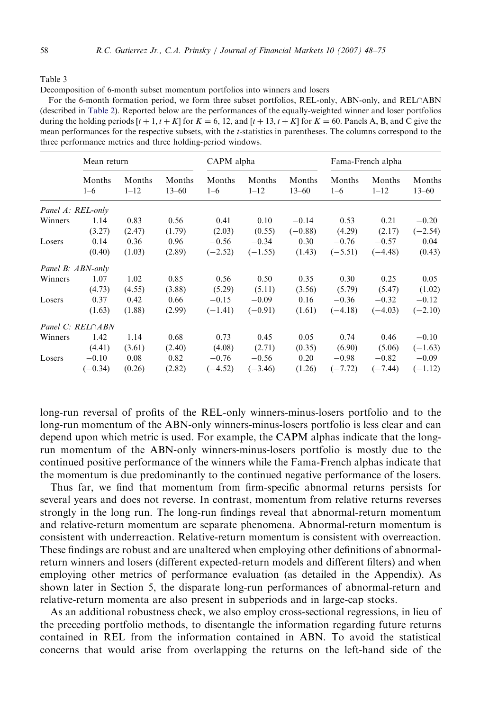<span id="page-10-0"></span>Decomposition of 6-month subset momentum portfolios into winners and losers

For the 6-month formation period, we form three subset portfolios, REL-only, ABN-only, and REL $\cap$ ABN (described in [Table 2\)](#page-8-0). Reported below are the performances of the equally-weighted winner and loser portfolios during the holding periods  $[t + 1, t + K]$  for  $K = 6, 12$ , and  $[t + 13, t + K]$  for  $K = 60$ . Panels A, B, and C give the mean performances for the respective subsets, with the t-statistics in parentheses. The columns correspond to the three performance metrics and three holding-period windows.

|         | Mean return             |                    |                     | CAPM alpha        |                    |                     |                   | Fama-French alpha  |                     |
|---------|-------------------------|--------------------|---------------------|-------------------|--------------------|---------------------|-------------------|--------------------|---------------------|
|         | Months<br>$1 - 6$       | Months<br>$1 - 12$ | Months<br>$13 - 60$ | Months<br>$1 - 6$ | Months<br>$1 - 12$ | Months<br>$13 - 60$ | Months<br>$1 - 6$ | Months<br>$1 - 12$ | Months<br>$13 - 60$ |
|         | Panel A: REL-only       |                    |                     |                   |                    |                     |                   |                    |                     |
| Winners | 1.14                    | 0.83               | 0.56                | 0.41              | 0.10               | $-0.14$             | 0.53              | 0.21               | $-0.20$             |
|         | (3.27)                  | (2.47)             | (1.79)              | (2.03)            | (0.55)             | $(-0.88)$           | (4.29)            | (2.17)             | $(-2.54)$           |
| Losers  | 0.14                    | 0.36               | 0.96                | $-0.56$           | $-0.34$            | 0.30                | $-0.76$           | $-0.57$            | 0.04                |
|         | (0.40)                  | (1.03)             | (2.89)              | $(-2.52)$         | $(-1.55)$          | (1.43)              | $(-5.51)$         | $(-4.48)$          | (0.43)              |
|         | Panel B: ABN-only       |                    |                     |                   |                    |                     |                   |                    |                     |
| Winners | 1.07                    | 1.02               | 0.85                | 0.56              | 0.50               | 0.35                | 0.30              | 0.25               | 0.05                |
|         | (4.73)                  | (4.55)             | (3.88)              | (5.29)            | (5.11)             | (3.56)              | (5.79)            | (5.47)             | (1.02)              |
| Losers  | 0.37                    | 0.42               | 0.66                | $-0.15$           | $-0.09$            | 0.16                | $-0.36$           | $-0.32$            | $-0.12$             |
|         | (1.63)                  | (1.88)             | (2.99)              | $(-1.41)$         | $(-0.91)$          | (1.61)              | $(-4.18)$         | $(-4.03)$          | $(-2.10)$           |
|         | Panel C: $REL \cap ABN$ |                    |                     |                   |                    |                     |                   |                    |                     |
| Winners | 1.42                    | 1.14               | 0.68                | 0.73              | 0.45               | 0.05                | 0.74              | 0.46               | $-0.10$             |
|         | (4.41)                  | (3.61)             | (2.40)              | (4.08)            | (2.71)             | (0.35)              | (6.90)            | (5.06)             | $(-1.63)$           |
| Losers  | $-0.10$                 | 0.08               | 0.82                | $-0.76$           | $-0.56$            | 0.20                | $-0.98$           | $-0.82$            | $-0.09$             |
|         | $(-0.34)$               | (0.26)             | (2.82)              | $(-4.52)$         | $(-3.46)$          | (1.26)              | $(-7.72)$         | $(-7.44)$          | $(-1.12)$           |

long-run reversal of profits of the REL-only winners-minus-losers portfolio and to the long-run momentum of the ABN-only winners-minus-losers portfolio is less clear and can depend upon which metric is used. For example, the CAPM alphas indicate that the longrun momentum of the ABN-only winners-minus-losers portfolio is mostly due to the continued positive performance of the winners while the Fama-French alphas indicate that the momentum is due predominantly to the continued negative performance of the losers.

Thus far, we find that momentum from firm-specific abnormal returns persists for several years and does not reverse. In contrast, momentum from relative returns reverses strongly in the long run. The long-run findings reveal that abnormal-return momentum and relative-return momentum are separate phenomena. Abnormal-return momentum is consistent with underreaction. Relative-return momentum is consistent with overreaction. These findings are robust and are unaltered when employing other definitions of abnormalreturn winners and losers (different expected-return models and different filters) and when employing other metrics of performance evaluation (as detailed in the Appendix). As shown later in Section 5, the disparate long-run performances of abnormal-return and relative-return momenta are also present in subperiods and in large-cap stocks.

As an additional robustness check, we also employ cross-sectional regressions, in lieu of the preceding portfolio methods, to disentangle the information regarding future returns contained in REL from the information contained in ABN. To avoid the statistical concerns that would arise from overlapping the returns on the left-hand side of the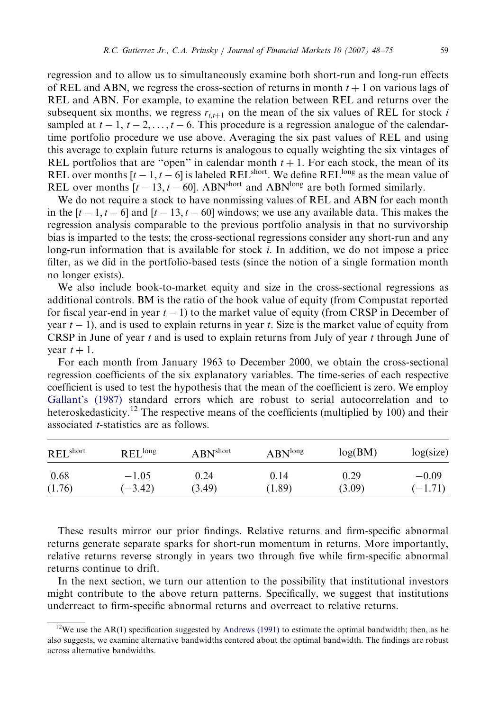regression and to allow us to simultaneously examine both short-run and long-run effects of REL and ABN, we regress the cross-section of returns in month  $t + 1$  on various lags of REL and ABN. For example, to examine the relation between REL and returns over the subsequent six months, we regress  $r_{i,t+1}$  on the mean of the six values of REL for stock i sampled at  $t-1$ ,  $t-2$ , ...,  $t-6$ . This procedure is a regression analogue of the calendartime portfolio procedure we use above. Averaging the six past values of REL and using this average to explain future returns is analogous to equally weighting the six vintages of REL portfolios that are "open" in calendar month  $t + 1$ . For each stock, the mean of its REL over months  $[t-1, t-6]$  is labeled REL<sup>short</sup>. We define REL<sup>long</sup> as the mean value of REL over months  $[t - 13, t - 60]$ . ABN<sup>short</sup> and ABN<sup>long</sup> are both formed similarly.

We do not require a stock to have nonmissing values of REL and ABN for each month in the  $[t - 1, t - 6]$  and  $[t - 13, t - 60]$  windows; we use any available data. This makes the regression analysis comparable to the previous portfolio analysis in that no survivorship bias is imparted to the tests; the cross-sectional regressions consider any short-run and any long-run information that is available for stock *i*. In addition, we do not impose a price filter, as we did in the portfolio-based tests (since the notion of a single formation month no longer exists).

We also include book-to-market equity and size in the cross-sectional regressions as additional controls. BM is the ratio of the book value of equity (from Compustat reported for fiscal year-end in year  $t - 1$ ) to the market value of equity (from CRSP in December of year  $t-1$ ), and is used to explain returns in year t. Size is the market value of equity from CRSP in June of year  $t$  and is used to explain returns from July of year  $t$  through June of year  $t + 1$ .

For each month from January 1963 to December 2000, we obtain the cross-sectional regression coefficients of the six explanatory variables. The time-series of each respective coefficient is used to test the hypothesis that the mean of the coefficient is zero. We employ [Gallant's \(1987\)](#page-26-0) standard errors which are robust to serial autocorrelation and to heteroskedasticity.<sup>12</sup> The respective means of the coefficients (multiplied by 100) and their associated t-statistics are as follows.

| REL <sup>short</sup> | REL <sup>long</sup> | ABN <sup>short</sup> | $ABN^{long}$ | log(BM) | log(size) |
|----------------------|---------------------|----------------------|--------------|---------|-----------|
| 0.68                 | $-1.05$             | 0.24                 | 0.14         | 0.29    | $-0.09$   |
| (1.76)               | $(-3.42)$           | (3.49)               | (1.89)       | (3.09)  | $(-1.71)$ |

These results mirror our prior findings. Relative returns and firm-specific abnormal returns generate separate sparks for short-run momentum in returns. More importantly, relative returns reverse strongly in years two through five while firm-specific abnormal returns continue to drift.

In the next section, we turn our attention to the possibility that institutional investors might contribute to the above return patterns. Specifically, we suggest that institutions underreact to firm-specific abnormal returns and overreact to relative returns.

<sup>&</sup>lt;sup>12</sup>We use the AR(1) specification suggested by [Andrews \(1991\)](#page-25-0) to estimate the optimal bandwidth; then, as he also suggests, we examine alternative bandwidths centered about the optimal bandwidth. The findings are robust across alternative bandwidths.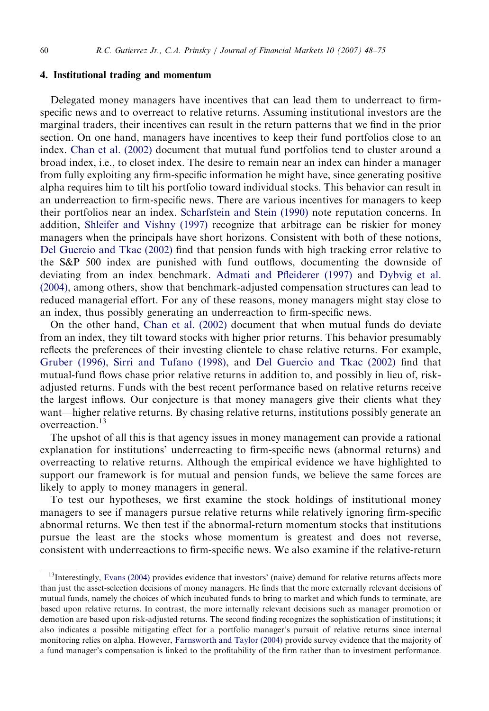## 4. Institutional trading and momentum

Delegated money managers have incentives that can lead them to underreact to firmspecific news and to overreact to relative returns. Assuming institutional investors are the marginal traders, their incentives can result in the return patterns that we find in the prior section. On one hand, managers have incentives to keep their fund portfolios close to an index. [Chan et al. \(2002\)](#page-26-0) document that mutual fund portfolios tend to cluster around a broad index, i.e., to closet index. The desire to remain near an index can hinder a manager from fully exploiting any firm-specific information he might have, since generating positive alpha requires him to tilt his portfolio toward individual stocks. This behavior can result in an underreaction to firm-specific news. There are various incentives for managers to keep their portfolios near an index. [Scharfstein and Stein \(1990\)](#page-27-0) note reputation concerns. In addition, [Shleifer and Vishny \(1997\)](#page-27-0) recognize that arbitrage can be riskier for money managers when the principals have short horizons. Consistent with both of these notions, [Del Guercio and Tkac \(2002\)](#page-26-0) find that pension funds with high tracking error relative to the S&P 500 index are punished with fund outflows, documenting the downside of deviating from an index benchmark. [Admati and Pfleiderer \(1997\)](#page-25-0) and [Dybvig et al.](#page-26-0) [\(2004\),](#page-26-0) among others, show that benchmark-adjusted compensation structures can lead to reduced managerial effort. For any of these reasons, money managers might stay close to an index, thus possibly generating an underreaction to firm-specific news.

On the other hand, [Chan et al. \(2002\)](#page-26-0) document that when mutual funds do deviate from an index, they tilt toward stocks with higher prior returns. This behavior presumably reflects the preferences of their investing clientele to chase relative returns. For example, [Gruber \(1996\)](#page-26-0), [Sirri and Tufano \(1998\)](#page-27-0), and [Del Guercio and Tkac \(2002\)](#page-26-0) find that mutual-fund flows chase prior relative returns in addition to, and possibly in lieu of, riskadjusted returns. Funds with the best recent performance based on relative returns receive the largest inflows. Our conjecture is that money managers give their clients what they want—higher relative returns. By chasing relative returns, institutions possibly generate an overreaction.<sup>13</sup>

The upshot of all this is that agency issues in money management can provide a rational explanation for institutions' underreacting to firm-specific news (abnormal returns) and overreacting to relative returns. Although the empirical evidence we have highlighted to support our framework is for mutual and pension funds, we believe the same forces are likely to apply to money managers in general.

To test our hypotheses, we first examine the stock holdings of institutional money managers to see if managers pursue relative returns while relatively ignoring firm-specific abnormal returns. We then test if the abnormal-return momentum stocks that institutions pursue the least are the stocks whose momentum is greatest and does not reverse, consistent with underreactions to firm-specific news. We also examine if the relative-return

 $<sup>13</sup>$ Interestingly, [Evans \(2004\)](#page-26-0) provides evidence that investors' (naive) demand for relative returns affects more</sup> than just the asset-selection decisions of money managers. He finds that the more externally relevant decisions of mutual funds, namely the choices of which incubated funds to bring to market and which funds to terminate, are based upon relative returns. In contrast, the more internally relevant decisions such as manager promotion or demotion are based upon risk-adjusted returns. The second finding recognizes the sophistication of institutions; it also indicates a possible mitigating effect for a portfolio manager's pursuit of relative returns since internal monitoring relies on alpha. However, [Farnsworth and Taylor \(2004\)](#page-26-0) provide survey evidence that the majority of a fund manager's compensation is linked to the profitability of the firm rather than to investment performance.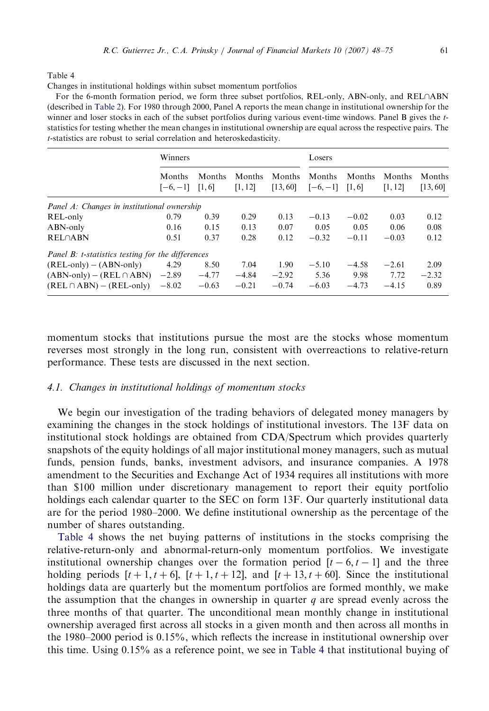<span id="page-13-0"></span>Changes in institutional holdings within subset momentum portfolios

For the 6-month formation period, we form three subset portfolios, REL-only, ABN-only, and REL $\cap$ ABN (described in [Table 2\)](#page-8-0). For 1980 through 2000, Panel A reports the mean change in institutional ownership for the winner and loser stocks in each of the subset portfolios during various event-time windows. Panel B gives the tstatistics for testing whether the mean changes in institutional ownership are equal across the respective pairs. The t-statistics are robust to serial correlation and heteroskedasticity.

|                                                   | Winners              |                 |                   |                    | Losers               |                 |                   |                    |
|---------------------------------------------------|----------------------|-----------------|-------------------|--------------------|----------------------|-----------------|-------------------|--------------------|
|                                                   | Months<br>$[-6, -1]$ | Months<br>[1,6] | Months<br>[1, 12] | Months<br>[13, 60] | Months<br>$[-6, -1]$ | Months<br>[1,6] | Months<br>[1, 12] | Months<br>[13, 60] |
| Panel A: Changes in institutional ownership       |                      |                 |                   |                    |                      |                 |                   |                    |
| REL-only                                          | 0.79                 | 0.39            | 0.29              | 0.13               | $-0.13$              | $-0.02$         | 0.03              | 0.12               |
| ABN-only                                          | 0.16                 | 0.15            | 0.13              | 0.07               | 0.05                 | 0.05            | 0.06              | 0.08               |
| RELOABN                                           | 0.51                 | 0.37            | 0.28              | 0.12               | $-0.32$              | $-0.11$         | $-0.03$           | 0.12               |
| Panel B: t-statistics testing for the differences |                      |                 |                   |                    |                      |                 |                   |                    |
| $(REL-only) - (ABN-only)$                         | 4.29                 | 8.50            | 7.04              | 1.90               | $-5.10$              | $-4.58$         | $-2.61$           | 2.09               |
| $(ABN-only) - (REL \cap ABN)$                     | $-2.89$              | $-4.77$         | $-4.84$           | $-2.92$            | 5.36                 | 9.98            | 7.72              | $-2.32$            |
| $(REL \cap ABN) - (REL-only)$                     | $-8.02$              | $-0.63$         | $-0.21$           | $-0.74$            | $-6.03$              | $-4.73$         | $-4.15$           | 0.89               |

momentum stocks that institutions pursue the most are the stocks whose momentum reverses most strongly in the long run, consistent with overreactions to relative-return performance. These tests are discussed in the next section.

## 4.1. Changes in institutional holdings of momentum stocks

We begin our investigation of the trading behaviors of delegated money managers by examining the changes in the stock holdings of institutional investors. The 13F data on institutional stock holdings are obtained from CDA/Spectrum which provides quarterly snapshots of the equity holdings of all major institutional money managers, such as mutual funds, pension funds, banks, investment advisors, and insurance companies. A 1978 amendment to the Securities and Exchange Act of 1934 requires all institutions with more than \$100 million under discretionary management to report their equity portfolio holdings each calendar quarter to the SEC on form 13F. Our quarterly institutional data are for the period 1980–2000. We define institutional ownership as the percentage of the number of shares outstanding.

Table 4 shows the net buying patterns of institutions in the stocks comprising the relative-return-only and abnormal-return-only momentum portfolios. We investigate institutional ownership changes over the formation period  $[t-6, t-1]$  and the three holding periods  $[t + 1, t + 6]$ ,  $[t + 1, t + 12]$ , and  $[t + 13, t + 60]$ . Since the institutional holdings data are quarterly but the momentum portfolios are formed monthly, we make the assumption that the changes in ownership in quarter  $q$  are spread evenly across the three months of that quarter. The unconditional mean monthly change in institutional ownership averaged first across all stocks in a given month and then across all months in the 1980–2000 period is 0.15%, which reflects the increase in institutional ownership over this time. Using 0.15% as a reference point, we see in Table 4 that institutional buying of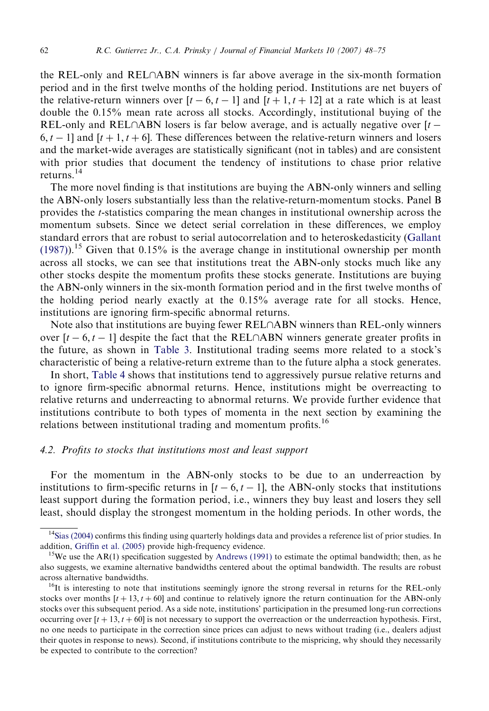the REL-only and REL $\cap$ ABN winners is far above average in the six-month formation period and in the first twelve months of the holding period. Institutions are net buyers of the relative-return winners over  $[t-6, t-1]$  and  $[t+1, t+12]$  at a rate which is at least double the 0.15% mean rate across all stocks. Accordingly, institutional buying of the REL-only and REL $\cap$ ABN losers is far below average, and is actually negative over [ $t$  - $6, t - 1$  and  $[t + 1, t + 6]$ . These differences between the relative-return winners and losers and the market-wide averages are statistically significant (not in tables) and are consistent with prior studies that document the tendency of institutions to chase prior relative returns.14

The more novel finding is that institutions are buying the ABN-only winners and selling the ABN-only losers substantially less than the relative-return-momentum stocks. Panel B provides the t-statistics comparing the mean changes in institutional ownership across the momentum subsets. Since we detect serial correlation in these differences, we employ standard errors that are robust to serial autocorrelation and to heteroskedasticity ([Gallant](#page-26-0)  $(1987)$ <sup>15</sup> Given that 0.15% is the average change in institutional ownership per month across all stocks, we can see that institutions treat the ABN-only stocks much like any other stocks despite the momentum profits these stocks generate. Institutions are buying the ABN-only winners in the six-month formation period and in the first twelve months of the holding period nearly exactly at the 0.15% average rate for all stocks. Hence, institutions are ignoring firm-specific abnormal returns.

Note also that institutions are buying fewer REL $\cap$ ABN winners than REL-only winners over  $[t - 6, t - 1]$  despite the fact that the REL $\cap$ ABN winners generate greater profits in the future, as shown in [Table 3](#page-10-0). Institutional trading seems more related to a stock's characteristic of being a relative-return extreme than to the future alpha a stock generates.

In short, [Table 4](#page-13-0) shows that institutions tend to aggressively pursue relative returns and to ignore firm-specific abnormal returns. Hence, institutions might be overreacting to relative returns and underreacting to abnormal returns. We provide further evidence that institutions contribute to both types of momenta in the next section by examining the relations between institutional trading and momentum profits.<sup>16</sup>

# 4.2. Profits to stocks that institutions most and least support

For the momentum in the ABN-only stocks to be due to an underreaction by institutions to firm-specific returns in  $[t - 6, t - 1]$ , the ABN-only stocks that institutions least support during the formation period, i.e., winners they buy least and losers they sell least, should display the strongest momentum in the holding periods. In other words, the

<sup>&</sup>lt;sup>14</sup>Sias (2004) confirms this finding using quarterly holdings data and provides a reference list of prior studies. In addition, [Griffin et al. \(2005\)](#page-26-0) provide high-frequency evidence.<br><sup>15</sup>We use the AR(1) specification suggested by [Andrews \(1991\)](#page-25-0) to estimate the optimal bandwidth; then, as he

also suggests, we examine alternative bandwidths centered about the optimal bandwidth. The results are robust across alternative bandwidths.<br><sup>16</sup>It is interesting to note that institutions seemingly ignore the strong reversal in returns for the REL-only

stocks over months  $[t + 13, t + 60]$  and continue to relatively ignore the return continuation for the ABN-only stocks over this subsequent period. As a side note, institutions' participation in the presumed long-run corrections occurring over  $[t + 13, t + 60]$  is not necessary to support the overreaction or the underreaction hypothesis. First, no one needs to participate in the correction since prices can adjust to news without trading (i.e., dealers adjust their quotes in response to news). Second, if institutions contribute to the mispricing, why should they necessarily be expected to contribute to the correction?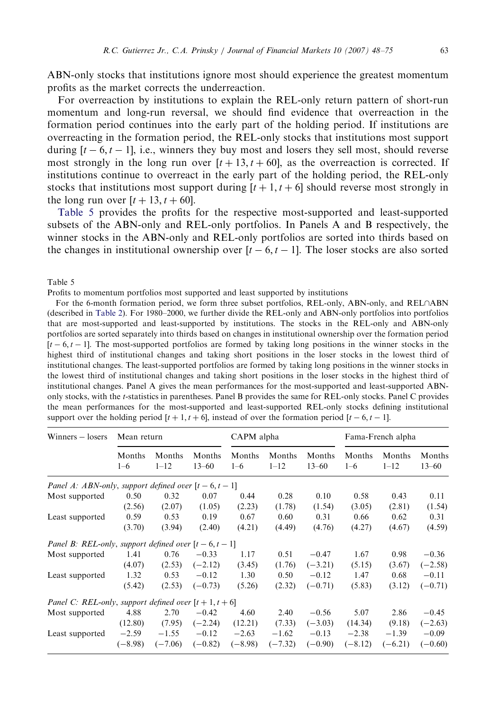<span id="page-15-0"></span>ABN-only stocks that institutions ignore most should experience the greatest momentum profits as the market corrects the underreaction.

For overreaction by institutions to explain the REL-only return pattern of short-run momentum and long-run reversal, we should find evidence that overreaction in the formation period continues into the early part of the holding period. If institutions are overreacting in the formation period, the REL-only stocks that institutions most support during  $[t - 6, t - 1]$ , i.e., winners they buy most and losers they sell most, should reverse most strongly in the long run over  $[t + 13, t + 60]$ , as the overreaction is corrected. If institutions continue to overreact in the early part of the holding period, the REL-only stocks that institutions most support during  $[t + 1, t + 6]$  should reverse most strongly in the long run over  $[t + 13, t + 60]$ .

Table 5 provides the profits for the respective most-supported and least-supported subsets of the ABN-only and REL-only portfolios. In Panels A and B respectively, the winner stocks in the ABN-only and REL-only portfolios are sorted into thirds based on the changes in institutional ownership over  $[t - 6, t - 1]$ . The loser stocks are also sorted

Table 5

Profits to momentum portfolios most supported and least supported by institutions

For the 6-month formation period, we form three subset portfolios, REL-only, ABN-only, and REL $\cap$ ABN (described in [Table 2](#page-8-0)). For 1980–2000, we further divide the REL-only and ABN-only portfolios into portfolios that are most-supported and least-supported by institutions. The stocks in the REL-only and ABN-only portfolios are sorted separately into thirds based on changes in institutional ownership over the formation period  $[t - 6, t - 1]$ . The most-supported portfolios are formed by taking long positions in the winner stocks in the highest third of institutional changes and taking short positions in the loser stocks in the lowest third of institutional changes. The least-supported portfolios are formed by taking long positions in the winner stocks in the lowest third of institutional changes and taking short positions in the loser stocks in the highest third of institutional changes. Panel A gives the mean performances for the most-supported and least-supported ABNonly stocks, with the t-statistics in parentheses. Panel B provides the same for REL-only stocks. Panel C provides the mean performances for the most-supported and least-supported REL-only stocks defining institutional support over the holding period  $[t + 1, t + 6]$ , instead of over the formation period  $[t - 6, t - 1]$ .

| $Winners - lossers$                                  | Mean return       |                    |                     | CAPM alpha        |                    |                     |                   | Fama-French alpha  |                     |
|------------------------------------------------------|-------------------|--------------------|---------------------|-------------------|--------------------|---------------------|-------------------|--------------------|---------------------|
|                                                      | Months<br>$1 - 6$ | Months<br>$1 - 12$ | Months<br>$13 - 60$ | Months<br>$1 - 6$ | Months<br>$1 - 12$ | Months<br>$13 - 60$ | Months<br>$1 - 6$ | Months<br>$1 - 12$ | Months<br>$13 - 60$ |
| Panel A: ABN-only, support defined over $[t-6, t-1]$ |                   |                    |                     |                   |                    |                     |                   |                    |                     |
| Most supported                                       | 0.50              | 0.32               | 0.07                | 0.44              | 0.28               | 0.10                | 0.58              | 0.43               | 0.11                |
|                                                      | (2.56)            | (2.07)             | (1.05)              | (2.23)            | (1.78)             | (1.54)              | (3.05)            | (2.81)             | (1.54)              |
| Least supported                                      | 0.59              | 0.53               | 0.19                | 0.67              | 0.60               | 0.31                | 0.66              | 0.62               | 0.31                |
|                                                      | (3.70)            | (3.94)             | (2.40)              | (4.21)            | (4.49)             | (4.76)              | (4.27)            | (4.67)             | (4.59)              |
| Panel B: REL-only, support defined over $[t-6, t-1]$ |                   |                    |                     |                   |                    |                     |                   |                    |                     |
| Most supported                                       | 1.41              | 0.76               | $-0.33$             | 1.17              | 0.51               | $-0.47$             | 1.67              | 0.98               | $-0.36$             |
|                                                      | (4.07)            | (2.53)             | $(-2.12)$           | (3.45)            | (1.76)             | $(-3.21)$           | (5.15)            | (3.67)             | $(-2.58)$           |
| Least supported                                      | 1.32              | 0.53               | $-0.12$             | 1.30              | 0.50               | $-0.12$             | 1.47              | 0.68               | $-0.11$             |
|                                                      | (5.42)            | (2.53)             | $(-0.73)$           | (5.26)            | (2.32)             | $(-0.71)$           | (5.83)            | (3.12)             | $(-0.71)$           |
| Panel C: REL-only, support defined over $[t+1, t+6]$ |                   |                    |                     |                   |                    |                     |                   |                    |                     |
| Most supported                                       | 4.88              | 2.70               | $-0.42$             | 4.60              | 2.40               | $-0.56$             | 5.07              | 2.86               | $-0.45$             |
|                                                      | (12.80)           | (7.95)             | $(-2.24)$           | (12.21)           | (7.33)             | $(-3.03)$           | (14.34)           | (9.18)             | $(-2.63)$           |
| Least supported                                      | $-2.59$           | $-1.55$            | $-0.12$             | $-2.63$           | $-1.62$            | $-0.13$             | $-2.38$           | $-1.39$            | $-0.09$             |
|                                                      | $(-8.98)$         | $(-7.06)$          | $(-0.82)$           | $(-8.98)$         | $(-7.32)$          | $(-0.90)$           | $(-8.12)$         | $(-6.21)$          | $(-0.60)$           |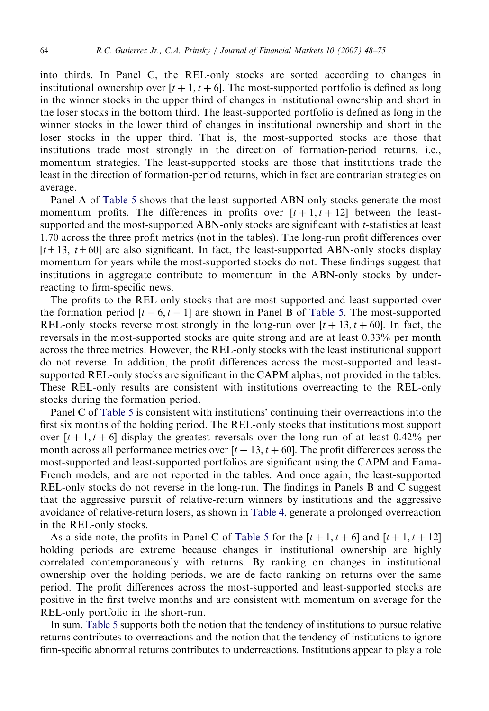into thirds. In Panel C, the REL-only stocks are sorted according to changes in institutional ownership over  $[t + 1, t + 6]$ . The most-supported portfolio is defined as long in the winner stocks in the upper third of changes in institutional ownership and short in the loser stocks in the bottom third. The least-supported portfolio is defined as long in the winner stocks in the lower third of changes in institutional ownership and short in the loser stocks in the upper third. That is, the most-supported stocks are those that institutions trade most strongly in the direction of formation-period returns, i.e., momentum strategies. The least-supported stocks are those that institutions trade the least in the direction of formation-period returns, which in fact are contrarian strategies on average.

Panel A of [Table 5](#page-15-0) shows that the least-supported ABN-only stocks generate the most momentum profits. The differences in profits over  $[t + 1, t + 12]$  between the leastsupported and the most-supported ABN-only stocks are significant with t-statistics at least 1.70 across the three profit metrics (not in the tables). The long-run profit differences over  $[t+13, t+60]$  are also significant. In fact, the least-supported ABN-only stocks display momentum for years while the most-supported stocks do not. These findings suggest that institutions in aggregate contribute to momentum in the ABN-only stocks by underreacting to firm-specific news.

The profits to the REL-only stocks that are most-supported and least-supported over the formation period  $[t - 6, t - 1]$  are shown in Panel B of [Table 5.](#page-15-0) The most-supported REL-only stocks reverse most strongly in the long-run over  $[t + 13, t + 60]$ . In fact, the reversals in the most-supported stocks are quite strong and are at least 0.33% per month across the three metrics. However, the REL-only stocks with the least institutional support do not reverse. In addition, the profit differences across the most-supported and leastsupported REL-only stocks are significant in the CAPM alphas, not provided in the tables. These REL-only results are consistent with institutions overreacting to the REL-only stocks during the formation period.

Panel C of [Table 5](#page-15-0) is consistent with institutions' continuing their overreactions into the first six months of the holding period. The REL-only stocks that institutions most support over  $[t + 1, t + 6]$  display the greatest reversals over the long-run of at least 0.42% per month across all performance metrics over  $[t + 13, t + 60]$ . The profit differences across the most-supported and least-supported portfolios are significant using the CAPM and Fama-French models, and are not reported in the tables. And once again, the least-supported REL-only stocks do not reverse in the long-run. The findings in Panels B and C suggest that the aggressive pursuit of relative-return winners by institutions and the aggressive avoidance of relative-return losers, as shown in [Table 4](#page-13-0), generate a prolonged overreaction in the REL-only stocks.

As a side note, the profits in Panel C of [Table 5](#page-15-0) for the  $[t + 1, t + 6]$  and  $[t + 1, t + 12]$ holding periods are extreme because changes in institutional ownership are highly correlated contemporaneously with returns. By ranking on changes in institutional ownership over the holding periods, we are de facto ranking on returns over the same period. The profit differences across the most-supported and least-supported stocks are positive in the first twelve months and are consistent with momentum on average for the REL-only portfolio in the short-run.

In sum, [Table 5](#page-15-0) supports both the notion that the tendency of institutions to pursue relative returns contributes to overreactions and the notion that the tendency of institutions to ignore firm-specific abnormal returns contributes to underreactions. Institutions appear to play a role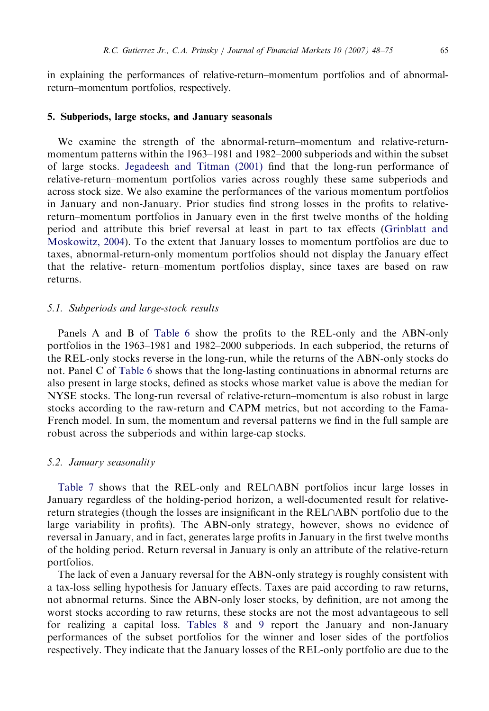in explaining the performances of relative-return–momentum portfolios and of abnormalreturn–momentum portfolios, respectively.

## 5. Subperiods, large stocks, and January seasonals

We examine the strength of the abnormal-return–momentum and relative-returnmomentum patterns within the 1963–1981 and 1982–2000 subperiods and within the subset of large stocks. [Jegadeesh and Titman \(2001\)](#page-26-0) find that the long-run performance of relative-return–momentum portfolios varies across roughly these same subperiods and across stock size. We also examine the performances of the various momentum portfolios in January and non-January. Prior studies find strong losses in the profits to relativereturn–momentum portfolios in January even in the first twelve months of the holding period and attribute this brief reversal at least in part to tax effects ([Grinblatt and](#page-26-0) [Moskowitz, 2004](#page-26-0)). To the extent that January losses to momentum portfolios are due to taxes, abnormal-return-only momentum portfolios should not display the January effect that the relative- return–momentum portfolios display, since taxes are based on raw returns.

## 5.1. Subperiods and large-stock results

Panels A and B of [Table 6](#page-18-0) show the profits to the REL-only and the ABN-only portfolios in the 1963–1981 and 1982–2000 subperiods. In each subperiod, the returns of the REL-only stocks reverse in the long-run, while the returns of the ABN-only stocks do not. Panel C of [Table 6](#page-18-0) shows that the long-lasting continuations in abnormal returns are also present in large stocks, defined as stocks whose market value is above the median for NYSE stocks. The long-run reversal of relative-return–momentum is also robust in large stocks according to the raw-return and CAPM metrics, but not according to the Fama-French model. In sum, the momentum and reversal patterns we find in the full sample are robust across the subperiods and within large-cap stocks.

## 5.2. January seasonality

[Table 7](#page-19-0) shows that the REL-only and REL\ABN portfolios incur large losses in January regardless of the holding-period horizon, a well-documented result for relativereturn strategies (though the losses are insignificant in the REL\ABN portfolio due to the large variability in profits). The ABN-only strategy, however, shows no evidence of reversal in January, and in fact, generates large profits in January in the first twelve months of the holding period. Return reversal in January is only an attribute of the relative-return portfolios.

The lack of even a January reversal for the ABN-only strategy is roughly consistent with a tax-loss selling hypothesis for January effects. Taxes are paid according to raw returns, not abnormal returns. Since the ABN-only loser stocks, by definition, are not among the worst stocks according to raw returns, these stocks are not the most advantageous to sell for realizing a capital loss. [Tables 8](#page-20-0) and [9](#page-21-0) report the January and non-January performances of the subset portfolios for the winner and loser sides of the portfolios respectively. They indicate that the January losses of the REL-only portfolio are due to the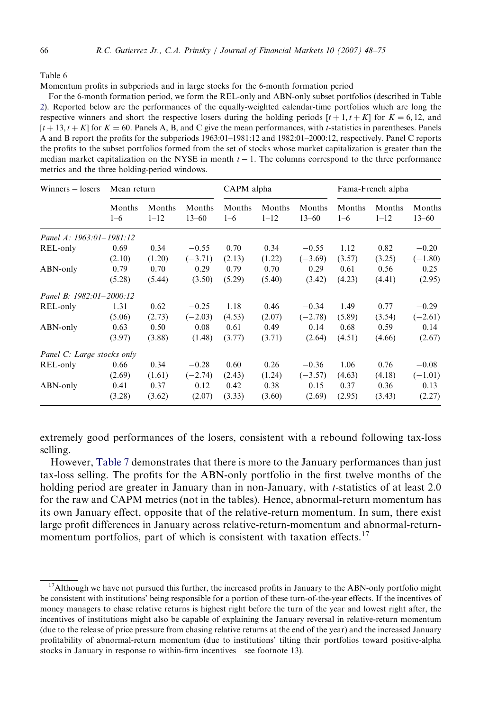<span id="page-18-0"></span>Momentum profits in subperiods and in large stocks for the 6-month formation period

For the 6-month formation period, we form the REL-only and ABN-only subset portfolios (described in Table [2](#page-8-0)). Reported below are the performances of the equally-weighted calendar-time portfolios which are long the respective winners and short the respective losers during the holding periods  $[t + 1, t + K]$  for  $K = 6, 12,$  and  $[t+13, t+K]$  for  $K = 60$ . Panels A, B, and C give the mean performances, with *t*-statistics in parentheses. Panels A and B report the profits for the subperiods 1963:01–1981:12 and 1982:01–2000:12, respectively. Panel C reports the profits to the subset portfolios formed from the set of stocks whose market capitalization is greater than the median market capitalization on the NYSE in month  $t-1$ . The columns correspond to the three performance metrics and the three holding-period windows.

| Winners – losers           | Mean return       |                    |                     | CAPM alpha        |                    |                     | Fama-French alpha |                    |                     |
|----------------------------|-------------------|--------------------|---------------------|-------------------|--------------------|---------------------|-------------------|--------------------|---------------------|
|                            | Months<br>$1 - 6$ | Months<br>$1 - 12$ | Months<br>$13 - 60$ | Months<br>$1 - 6$ | Months<br>$1 - 12$ | Months<br>$13 - 60$ | Months<br>$1 - 6$ | Months<br>$1 - 12$ | Months<br>$13 - 60$ |
| Panel A: 1963:01-1981:12   |                   |                    |                     |                   |                    |                     |                   |                    |                     |
| REL-only                   | 0.69              | 0.34               | $-0.55$             | 0.70              | 0.34               | $-0.55$             | 1.12              | 0.82               | $-0.20$             |
|                            | (2.10)            | (1.20)             | $(-3.71)$           | (2.13)            | (1.22)             | $(-3.69)$           | (3.57)            | (3.25)             | $(-1.80)$           |
| ABN-only                   | 0.79              | 0.70               | 0.29                | 0.79              | 0.70               | 0.29                | 0.61              | 0.56               | 0.25                |
|                            | (5.28)            | (5.44)             | (3.50)              | (5.29)            | (5.40)             | (3.42)              | (4.23)            | (4.41)             | (2.95)              |
| Panel B: 1982:01-2000:12   |                   |                    |                     |                   |                    |                     |                   |                    |                     |
| REL-only                   | 1.31              | 0.62               | $-0.25$             | 1.18              | 0.46               | $-0.34$             | 1.49              | 0.77               | $-0.29$             |
|                            | (5.06)            | (2.73)             | $(-2.03)$           | (4.53)            | (2.07)             | $(-2.78)$           | (5.89)            | (3.54)             | $(-2.61)$           |
| ABN-only                   | 0.63              | 0.50               | 0.08                | 0.61              | 0.49               | 0.14                | 0.68              | 0.59               | 0.14                |
|                            | (3.97)            | (3.88)             | (1.48)              | (3.77)            | (3.71)             | (2.64)              | (4.51)            | (4.66)             | (2.67)              |
| Panel C: Large stocks only |                   |                    |                     |                   |                    |                     |                   |                    |                     |
| REL-only                   | 0.66              | 0.34               | $-0.28$             | 0.60              | 0.26               | $-0.36$             | 1.06              | 0.76               | $-0.08$             |
|                            | (2.69)            | (1.61)             | $(-2.74)$           | (2.43)            | (1.24)             | $(-3.57)$           | (4.63)            | (4.18)             | $(-1.01)$           |
| ABN-only                   | 0.41              | 0.37               | 0.12                | 0.42              | 0.38               | 0.15                | 0.37              | 0.36               | 0.13                |
|                            | (3.28)            | (3.62)             | (2.07)              | (3.33)            | (3.60)             | (2.69)              | (2.95)            | (3.43)             | (2.27)              |

extremely good performances of the losers, consistent with a rebound following tax-loss selling.

However, [Table 7](#page-19-0) demonstrates that there is more to the January performances than just tax-loss selling. The profits for the ABN-only portfolio in the first twelve months of the holding period are greater in January than in non-January, with *t*-statistics of at least 2.0 for the raw and CAPM metrics (not in the tables). Hence, abnormal-return momentum has its own January effect, opposite that of the relative-return momentum. In sum, there exist large profit differences in January across relative-return-momentum and abnormal-returnmomentum portfolios, part of which is consistent with taxation effects.<sup>17</sup>

<sup>&</sup>lt;sup>17</sup>Although we have not pursued this further, the increased profits in January to the ABN-only portfolio might be consistent with institutions' being responsible for a portion of these turn-of-the-year effects. If the incentives of money managers to chase relative returns is highest right before the turn of the year and lowest right after, the incentives of institutions might also be capable of explaining the January reversal in relative-return momentum (due to the release of price pressure from chasing relative returns at the end of the year) and the increased January profitability of abnormal-return momentum (due to institutions' tilting their portfolios toward positive-alpha stocks in January in response to within-firm incentives—see footnote 13).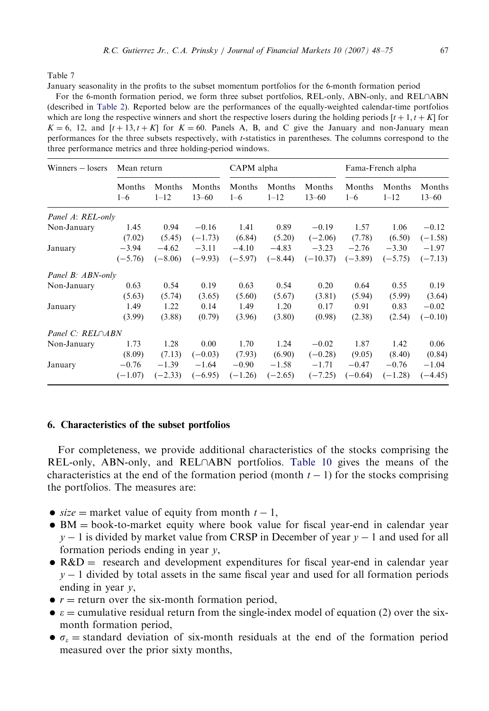<span id="page-19-0"></span>January seasonality in the profits to the subset momentum portfolios for the 6-month formation period For the 6-month formation period, we form three subset portfolios, REL-only, ABN-only, and REL $\cap$ ABN (described in [Table 2](#page-8-0)). Reported below are the performances of the equally-weighted calendar-time portfolios which are long the respective winners and short the respective losers during the holding periods  $[t + 1, t + K]$  for  $K = 6$ , 12, and  $[t + 13, t + K]$  for  $K = 60$ . Panels A, B, and C give the January and non-January mean performances for the three subsets respectively, with t-statistics in parentheses. The columns correspond to the

| $Winners - lossers$     | Mean return       |                    |                     | CAPM alpha        |                    |                     |                   | Fama-French alpha  |                     |
|-------------------------|-------------------|--------------------|---------------------|-------------------|--------------------|---------------------|-------------------|--------------------|---------------------|
|                         | Months<br>$1 - 6$ | Months<br>$1 - 12$ | Months<br>$13 - 60$ | Months<br>$1 - 6$ | Months<br>$1 - 12$ | Months<br>$13 - 60$ | Months<br>$1 - 6$ | Months<br>$1 - 12$ | Months<br>$13 - 60$ |
| Panel A: REL-only       |                   |                    |                     |                   |                    |                     |                   |                    |                     |
| Non-January             | 1.45              | 0.94               | $-0.16$             | 1.41              | 0.89               | $-0.19$             | 1.57              | 1.06               | $-0.12$             |
|                         | (7.02)            | (5.45)             | $(-1.73)$           | (6.84)            | (5.20)             | $(-2.06)$           | (7.78)            | (6.50)             | $(-1.58)$           |
| January                 | $-3.94$           | $-4.62$            | $-3.11$             | $-4.10$           | $-4.83$            | $-3.23$             | $-2.76$           | $-3.30$            | $-1.97$             |
|                         | $(-5.76)$         | $(-8.06)$          | $(-9.93)$           | $(-5.97)$         | $(-8.44)$          | $(-10.37)$          | $(-3.89)$         | $(-5.75)$          | $(-7.13)$           |
| Panel B: ABN-only       |                   |                    |                     |                   |                    |                     |                   |                    |                     |
| Non-January             | 0.63              | 0.54               | 0.19                | 0.63              | 0.54               | 0.20                | 0.64              | 0.55               | 0.19                |
|                         | (5.63)            | (5.74)             | (3.65)              | (5.60)            | (5.67)             | (3.81)              | (5.94)            | (5.99)             | (3.64)              |
| January                 | 1.49              | 1.22               | 0.14                | 1.49              | 1.20               | 0.17                | 0.91              | 0.83               | $-0.02$             |
|                         | (3.99)            | (3.88)             | (0.79)              | (3.96)            | (3.80)             | (0.98)              | (2.38)            | (2.54)             | $(-0.10)$           |
| Panel C: $REL \cap ABN$ |                   |                    |                     |                   |                    |                     |                   |                    |                     |
| Non-January             | 1.73              | 1.28               | 0.00                | 1.70              | 1.24               | $-0.02$             | 1.87              | 1.42               | 0.06                |
|                         | (8.09)            | (7.13)             | $(-0.03)$           | (7.93)            | (6.90)             | $(-0.28)$           | (9.05)            | (8.40)             | (0.84)              |
| January                 | $-0.76$           | $-1.39$            | $-1.64$             | $-0.90$           | $-1.58$            | $-1.71$             | $-0.47$           | $-0.76$            | $-1.04$             |
|                         | $(-1.07)$         | $(-2.33)$          | $(-6.95)$           | $(-1.26)$         | $(-2.65)$          | $(-7.25)$           | $(-0.64)$         | $(-1.28)$          | $(-4.45)$           |

# 6. Characteristics of the subset portfolios

three performance metrics and three holding-period windows.

For completeness, we provide additional characteristics of the stocks comprising the REL-only, ABN-only, and REL\ABN portfolios. [Table 10](#page-22-0) gives the means of the characteristics at the end of the formation period (month  $t-1$ ) for the stocks comprising the portfolios. The measures are:

- size = market value of equity from month  $t 1$ ,
- $\bullet$  BM  $=$  book-to-market equity where book value for fiscal year-end in calendar year  $y - 1$  is divided by market value from CRSP in December of year  $y - 1$  and used for all formation periods ending in year y,
- R&D = research and development expenditures for fiscal year-end in calendar year  $y - 1$  divided by total assets in the same fiscal year and used for all formation periods ending in year  $\nu$ ,
- $r =$  return over the six-month formation period,
- $\bullet$   $\varepsilon$  = cumulative residual return from the single-index model of equation (2) over the sixmonth formation period,
- $\bullet$   $\sigma_{\epsilon}$  = standard deviation of six-month residuals at the end of the formation period measured over the prior sixty months,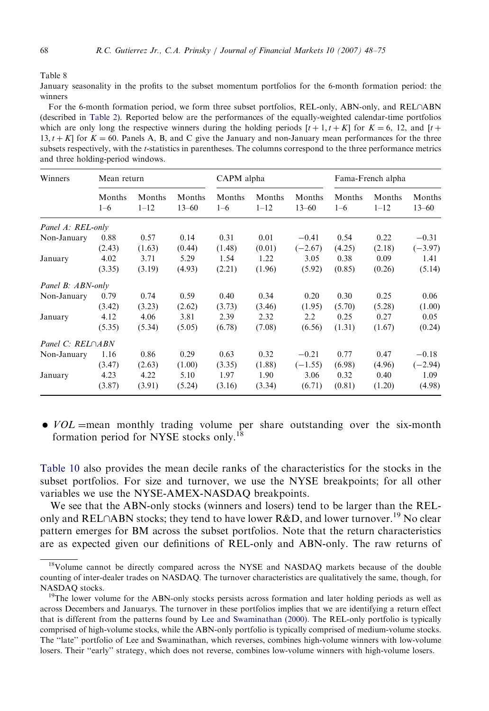<span id="page-20-0"></span>January seasonality in the profits to the subset momentum portfolios for the 6-month formation period: the winners

For the 6-month formation period, we form three subset portfolios, REL-only, ABN-only, and REL $\cap$ ABN (described in [Table 2](#page-8-0)). Reported below are the performances of the equally-weighted calendar-time portfolios which are only long the respective winners during the holding periods  $[t + 1, t + K]$  for  $K = 6, 12,$  and  $[t +$ 13,  $t + K$  for  $K = 60$ . Panels A, B, and C give the January and non-January mean performances for the three subsets respectively, with the t-statistics in parentheses. The columns correspond to the three performance metrics and three holding-period windows.

| Winners                 | Mean return       |                    |                     | CAPM alpha        |                    |                     | Fama-French alpha |                    |                     |
|-------------------------|-------------------|--------------------|---------------------|-------------------|--------------------|---------------------|-------------------|--------------------|---------------------|
|                         | Months<br>$1 - 6$ | Months<br>$1 - 12$ | Months<br>$13 - 60$ | Months<br>$1 - 6$ | Months<br>$1 - 12$ | Months<br>$13 - 60$ | Months<br>$1 - 6$ | Months<br>$1 - 12$ | Months<br>$13 - 60$ |
| Panel A: REL-only       |                   |                    |                     |                   |                    |                     |                   |                    |                     |
| Non-January             | 0.88              | 0.57               | 0.14                | 0.31              | 0.01               | $-0.41$             | 0.54              | 0.22               | $-0.31$             |
|                         | (2.43)            | (1.63)             | (0.44)              | (1.48)            | (0.01)             | $(-2.67)$           | (4.25)            | (2.18)             | $(-3.97)$           |
| January                 | 4.02              | 3.71               | 5.29                | 1.54              | 1.22               | 3.05                | 0.38              | 0.09               | 1.41                |
|                         | (3.35)            | (3.19)             | (4.93)              | (2.21)            | (1.96)             | (5.92)              | (0.85)            | (0.26)             | (5.14)              |
| Panel B: ABN-only       |                   |                    |                     |                   |                    |                     |                   |                    |                     |
| Non-January             | 0.79              | 0.74               | 0.59                | 0.40              | 0.34               | 0.20                | 0.30              | 0.25               | 0.06                |
|                         | (3.42)            | (3.23)             | (2.62)              | (3.73)            | (3.46)             | (1.95)              | (5.70)            | (5.28)             | (1.00)              |
| January                 | 4.12              | 4.06               | 3.81                | 2.39              | 2.32               | 2.2                 | 0.25              | 0.27               | 0.05                |
|                         | (5.35)            | (5.34)             | (5.05)              | (6.78)            | (7.08)             | (6.56)              | (1.31)            | (1.67)             | (0.24)              |
| Panel C: $REL \cap ABN$ |                   |                    |                     |                   |                    |                     |                   |                    |                     |
| Non-January             | 1.16              | 0.86               | 0.29                | 0.63              | 0.32               | $-0.21$             | 0.77              | 0.47               | $-0.18$             |
|                         | (3.47)            | (2.63)             | (1.00)              | (3.35)            | (1.88)             | $(-1.55)$           | (6.98)            | (4.96)             | $(-2.94)$           |
| January                 | 4.23              | 4.22               | 5.10                | 1.97              | 1.90               | 3.06                | 0.32              | 0.40               | 1.09                |
|                         | (3.87)            | (3.91)             | (5.24)              | (3.16)            | (3.34)             | (6.71)              | (0.81)            | (1.20)             | (4.98)              |

 $\bullet$  VOL =mean monthly trading volume per share outstanding over the six-month formation period for NYSE stocks only.<sup>18</sup>

[Table 10](#page-22-0) also provides the mean decile ranks of the characteristics for the stocks in the subset portfolios. For size and turnover, we use the NYSE breakpoints; for all other variables we use the NYSE-AMEX-NASDAQ breakpoints.

We see that the ABN-only stocks (winners and losers) tend to be larger than the RELonly and REL $\cap$ ABN stocks; they tend to have lower R&D, and lower turnover.<sup>19</sup> No clear pattern emerges for BM across the subset portfolios. Note that the return characteristics are as expected given our definitions of REL-only and ABN-only. The raw returns of

<sup>&</sup>lt;sup>18</sup>Volume cannot be directly compared across the NYSE and NASDAQ markets because of the double counting of inter-dealer trades on NASDAQ. The turnover characteristics are qualitatively the same, though, for NASDAQ stocks.<br><sup>19</sup>The lower volume for the ABN-only stocks persists across formation and later holding periods as well as

across Decembers and Januarys. The turnover in these portfolios implies that we are identifying a return effect that is different from the patterns found by [Lee and Swaminathan \(2000\)](#page-27-0). The REL-only portfolio is typically comprised of high-volume stocks, while the ABN-only portfolio is typically comprised of medium-volume stocks. The ''late'' portfolio of Lee and Swaminathan, which reverses, combines high-volume winners with low-volume losers. Their ''early'' strategy, which does not reverse, combines low-volume winners with high-volume losers.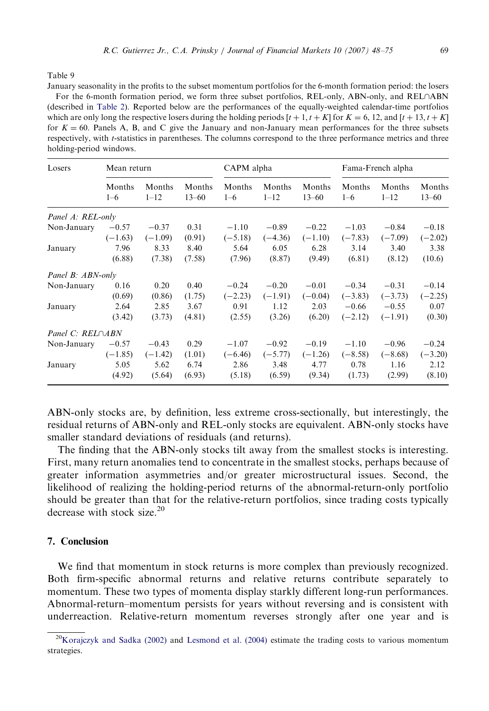<span id="page-21-0"></span>January seasonality in the profits to the subset momentum portfolios for the 6-month formation period: the losers For the 6-month formation period, we form three subset portfolios, REL-only, ABN-only, and REL $\cap$ ABN (described in [Table 2](#page-8-0)). Reported below are the performances of the equally-weighted calendar-time portfolios which are only long the respective losers during the holding periods  $[t + 1, t + K]$  for  $K = 6, 12$ , and  $[t + 13, t + K]$ for  $K = 60$ . Panels A, B, and C give the January and non-January mean performances for the three subsets respectively, with t-statistics in parentheses. The columns correspond to the three performance metrics and three holding-period windows.

| Losers            | Mean return       |                    |                     | CAPM alpha        |                    |                     | Fama-French alpha |                    |                     |
|-------------------|-------------------|--------------------|---------------------|-------------------|--------------------|---------------------|-------------------|--------------------|---------------------|
|                   | Months<br>$1 - 6$ | Months<br>$1 - 12$ | Months<br>$13 - 60$ | Months<br>$1 - 6$ | Months<br>$1 - 12$ | Months<br>$13 - 60$ | Months<br>$1 - 6$ | Months<br>$1 - 12$ | Months<br>$13 - 60$ |
| Panel A: REL-only |                   |                    |                     |                   |                    |                     |                   |                    |                     |
| Non-January       | $-0.57$           | $-0.37$            | 0.31                | $-1.10$           | $-0.89$            | $-0.22$             | $-1.03$           | $-0.84$            | $-0.18$             |
|                   | $(-1.63)$         | $(-1.09)$          | (0.91)              | $(-5.18)$         | $(-4.36)$          | $(-1.10)$           | $(-7.83)$         | $(-7.09)$          | $(-2.02)$           |
| January           | 7.96              | 8.33               | 8.40                | 5.64              | 6.05               | 6.28                | 3.14              | 3.40               | 3.38                |
|                   | (6.88)            | (7.38)             | (7.58)              | (7.96)            | (8.87)             | (9.49)              | (6.81)            | (8.12)             | (10.6)              |
| Panel B: ABN-only |                   |                    |                     |                   |                    |                     |                   |                    |                     |
| Non-January       | 0.16              | 0.20               | 0.40                | $-0.24$           | $-0.20$            | $-0.01$             | $-0.34$           | $-0.31$            | $-0.14$             |
|                   | (0.69)            | (0.86)             | (1.75)              | $(-2.23)$         | $(-1.91)$          | $(-0.04)$           | $(-3.83)$         | $(-3.73)$          | $(-2.25)$           |
| January           | 2.64              | 2.85               | 3.67                | 0.91              | 1.12               | 2.03                | $-0.66$           | $-0.55$            | 0.07                |
|                   | (3.42)            | (3.73)             | (4.81)              | (2.55)            | (3.26)             | (6.20)              | $(-2.12)$         | $(-1.91)$          | (0.30)              |
| Panel C: REL∩ABN  |                   |                    |                     |                   |                    |                     |                   |                    |                     |
| Non-January       | $-0.57$           | $-0.43$            | 0.29                | $-1.07$           | $-0.92$            | $-0.19$             | $-1.10$           | $-0.96$            | $-0.24$             |
|                   | $(-1.85)$         | $(-1.42)$          | (1.01)              | $(-6.46)$         | $(-5.77)$          | $(-1.26)$           | $(-8.58)$         | $(-8.68)$          | $(-3.20)$           |
| January           | 5.05              | 5.62               | 6.74                | 2.86              | 3.48               | 4.77                | 0.78              | 1.16               | 2.12                |
|                   | (4.92)            | (5.64)             | (6.93)              | (5.18)            | (6.59)             | (9.34)              | (1.73)            | (2.99)             | (8.10)              |

ABN-only stocks are, by definition, less extreme cross-sectionally, but interestingly, the residual returns of ABN-only and REL-only stocks are equivalent. ABN-only stocks have smaller standard deviations of residuals (and returns).

The finding that the ABN-only stocks tilt away from the smallest stocks is interesting. First, many return anomalies tend to concentrate in the smallest stocks, perhaps because of greater information asymmetries and/or greater microstructural issues. Second, the likelihood of realizing the holding-period returns of the abnormal-return-only portfolio should be greater than that for the relative-return portfolios, since trading costs typically decrease with stock size.<sup>20</sup>

# 7. Conclusion

We find that momentum in stock returns is more complex than previously recognized. Both firm-specific abnormal returns and relative returns contribute separately to momentum. These two types of momenta display starkly different long-run performances. Abnormal-return–momentum persists for years without reversing and is consistent with underreaction. Relative-return momentum reverses strongly after one year and is

 $20$ Korajczyk and Sadka (2002) and [Lesmond et al. \(2004\)](#page-27-0) estimate the trading costs to various momentum strategies.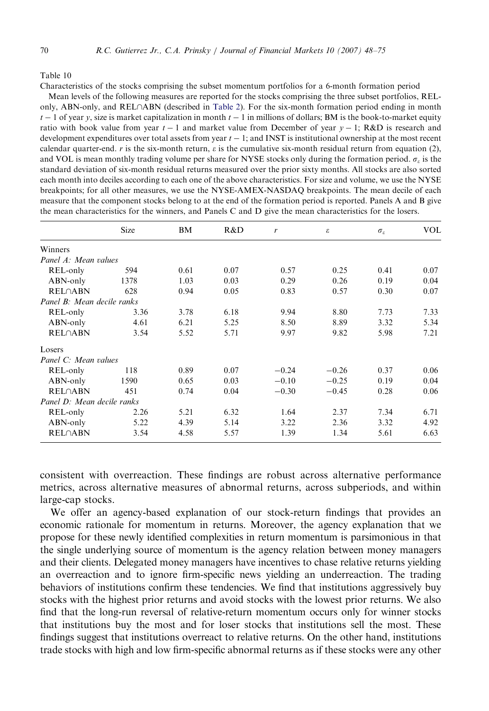<span id="page-22-0"></span>Characteristics of the stocks comprising the subset momentum portfolios for a 6-month formation period

Mean levels of the following measures are reported for the stocks comprising the three subset portfolios, RELonly, ABN-only, and REL\ABN (described in [Table 2\)](#page-8-0). For the six-month formation period ending in month  $t-1$  of year y, size is market capitalization in month  $t-1$  in millions of dollars; BM is the book-to-market equity ratio with book value from year  $t-1$  and market value from December of year  $y-1$ ;  $R\&D$  is research and development expenditures over total assets from year  $t-1$ ; and INST is institutional ownership at the most recent calendar quarter-end. r is the six-month return,  $\varepsilon$  is the cumulative six-month residual return from equation (2), and VOL is mean monthly trading volume per share for NYSE stocks only during the formation period.  $\sigma_{\varepsilon}$  is the standard deviation of six-month residual returns measured over the prior sixty months. All stocks are also sorted each month into deciles according to each one of the above characteristics. For size and volume, we use the NYSE breakpoints; for all other measures, we use the NYSE-AMEX-NASDAQ breakpoints. The mean decile of each measure that the component stocks belong to at the end of the formation period is reported. Panels A and B give the mean characteristics for the winners, and Panels C and D give the mean characteristics for the losers.

|                            | <b>Size</b> | ΒM   | R&D  | r       | $\epsilon$ | $\sigma_{\varepsilon}$ | VOL  |
|----------------------------|-------------|------|------|---------|------------|------------------------|------|
| Winners                    |             |      |      |         |            |                        |      |
| Panel A: Mean values       |             |      |      |         |            |                        |      |
| REL-only                   | 594         | 0.61 | 0.07 | 0.57    | 0.25       | 0.41                   | 0.07 |
| ABN-only                   | 1378        | 1.03 | 0.03 | 0.29    | 0.26       | 0.19                   | 0.04 |
| <b>RELOABN</b>             | 628         | 0.94 | 0.05 | 0.83    | 0.57       | 0.30                   | 0.07 |
| Panel B: Mean decile ranks |             |      |      |         |            |                        |      |
| REL-only                   | 3.36        | 3.78 | 6.18 | 9.94    | 8.80       | 7.73                   | 7.33 |
| ABN-only                   | 4.61        | 6.21 | 5.25 | 8.50    | 8.89       | 3.32                   | 5.34 |
| <b>RELOABN</b>             | 3.54        | 5.52 | 5.71 | 9.97    | 9.82       | 5.98                   | 7.21 |
| Losers                     |             |      |      |         |            |                        |      |
| Panel C: Mean values       |             |      |      |         |            |                        |      |
| REL-only                   | 118         | 0.89 | 0.07 | $-0.24$ | $-0.26$    | 0.37                   | 0.06 |
| ABN-only                   | 1590        | 0.65 | 0.03 | $-0.10$ | $-0.25$    | 0.19                   | 0.04 |
| <b>RELOABN</b>             | 451         | 0.74 | 0.04 | $-0.30$ | $-0.45$    | 0.28                   | 0.06 |
| Panel D: Mean decile ranks |             |      |      |         |            |                        |      |
| REL-only                   | 2.26        | 5.21 | 6.32 | 1.64    | 2.37       | 7.34                   | 6.71 |
| ABN-only                   | 5.22        | 4.39 | 5.14 | 3.22    | 2.36       | 3.32                   | 4.92 |
| REL∩ABN                    | 3.54        | 4.58 | 5.57 | 1.39    | 1.34       | 5.61                   | 6.63 |

consistent with overreaction. These findings are robust across alternative performance metrics, across alternative measures of abnormal returns, across subperiods, and within large-cap stocks.

We offer an agency-based explanation of our stock-return findings that provides an economic rationale for momentum in returns. Moreover, the agency explanation that we propose for these newly identified complexities in return momentum is parsimonious in that the single underlying source of momentum is the agency relation between money managers and their clients. Delegated money managers have incentives to chase relative returns yielding an overreaction and to ignore firm-specific news yielding an underreaction. The trading behaviors of institutions confirm these tendencies. We find that institutions aggressively buy stocks with the highest prior returns and avoid stocks with the lowest prior returns. We also find that the long-run reversal of relative-return momentum occurs only for winner stocks that institutions buy the most and for loser stocks that institutions sell the most. These findings suggest that institutions overreact to relative returns. On the other hand, institutions trade stocks with high and low firm-specific abnormal returns as if these stocks were any other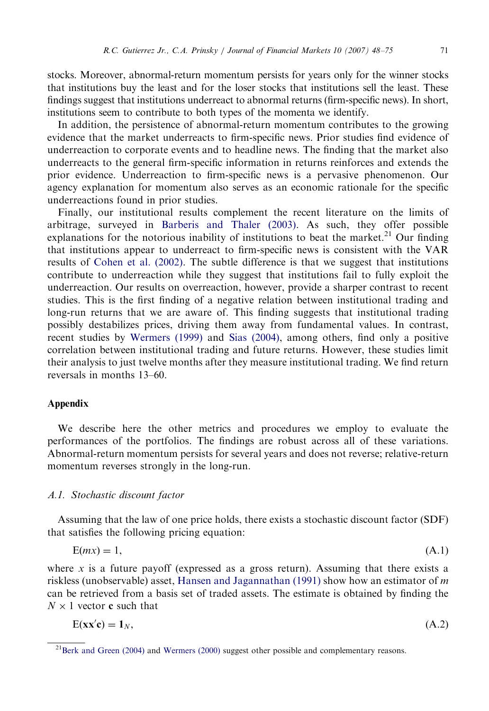stocks. Moreover, abnormal-return momentum persists for years only for the winner stocks that institutions buy the least and for the loser stocks that institutions sell the least. These findings suggest that institutions underreact to abnormal returns (firm-specific news). In short, institutions seem to contribute to both types of the momenta we identify.

In addition, the persistence of abnormal-return momentum contributes to the growing evidence that the market underreacts to firm-specific news. Prior studies find evidence of underreaction to corporate events and to headline news. The finding that the market also underreacts to the general firm-specific information in returns reinforces and extends the prior evidence. Underreaction to firm-specific news is a pervasive phenomenon. Our agency explanation for momentum also serves as an economic rationale for the specific underreactions found in prior studies.

Finally, our institutional results complement the recent literature on the limits of arbitrage, surveyed in [Barberis and Thaler \(2003\)](#page-25-0). As such, they offer possible explanations for the notorious inability of institutions to beat the market.<sup>21</sup> Our finding that institutions appear to underreact to firm-specific news is consistent with the VAR results of [Cohen et al. \(2002\)](#page-26-0). The subtle difference is that we suggest that institutions contribute to underreaction while they suggest that institutions fail to fully exploit the underreaction. Our results on overreaction, however, provide a sharper contrast to recent studies. This is the first finding of a negative relation between institutional trading and long-run returns that we are aware of. This finding suggests that institutional trading possibly destabilizes prices, driving them away from fundamental values. In contrast, recent studies by [Wermers \(1999\)](#page-27-0) and [Sias \(2004\),](#page-27-0) among others, find only a positive correlation between institutional trading and future returns. However, these studies limit their analysis to just twelve months after they measure institutional trading. We find return reversals in months 13–60.

# Appendix

We describe here the other metrics and procedures we employ to evaluate the performances of the portfolios. The findings are robust across all of these variations. Abnormal-return momentum persists for several years and does not reverse; relative-return momentum reverses strongly in the long-run.

## A.1. Stochastic discount factor

Assuming that the law of one price holds, there exists a stochastic discount factor (SDF) that satisfies the following pricing equation:

$$
E(mx) = 1,\tag{A.1}
$$

where x is a future payoff (expressed as a gross return). Assuming that there exists a riskless (unobservable) asset, [Hansen and Jagannathan \(1991\)](#page-26-0) show how an estimator of  $m$ can be retrieved from a basis set of traded assets. The estimate is obtained by finding the  $N \times 1$  vector **c** such that

$$
E(\mathbf{x}\mathbf{x}'\mathbf{c}) = \mathbf{1}_N,\tag{A.2}
$$

 $^{21}$ Berk and Green (2004) and [Wermers \(2000\)](#page-27-0) suggest other possible and complementary reasons.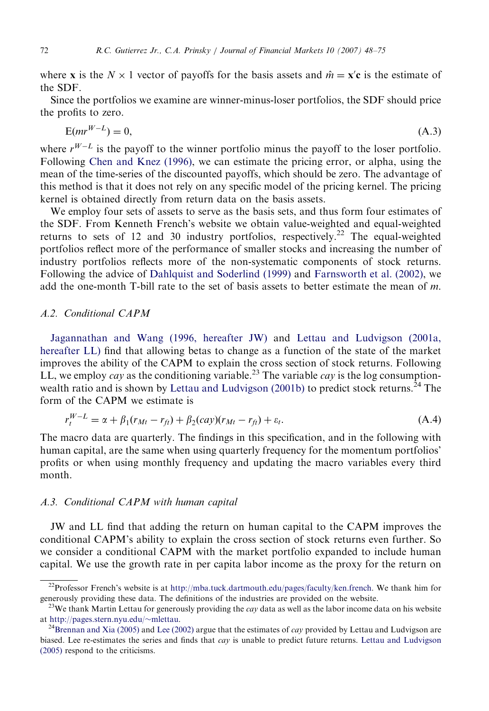where **x** is the  $N \times 1$  vector of payoffs for the basis assets and  $\hat{m} = \mathbf{x}'\mathbf{c}$  is the estimate of the SDF.

Since the portfolios we examine are winner-minus-loser portfolios, the SDF should price the profits to zero.

$$
E(mr^{W-L}) = 0,\t\t(A.3)
$$

where  $r^{W-L}$  is the payoff to the winner portfolio minus the payoff to the loser portfolio. Following [Chen and Knez \(1996\),](#page-26-0) we can estimate the pricing error, or alpha, using the mean of the time-series of the discounted payoffs, which should be zero. The advantage of this method is that it does not rely on any specific model of the pricing kernel. The pricing kernel is obtained directly from return data on the basis assets.

We employ four sets of assets to serve as the basis sets, and thus form four estimates of the SDF. From Kenneth French's website we obtain value-weighted and equal-weighted returns to sets of 12 and 30 industry portfolios, respectively.<sup>22</sup> The equal-weighted portfolios reflect more of the performance of smaller stocks and increasing the number of industry portfolios reflects more of the non-systematic components of stock returns. Following the advice of [Dahlquist and Soderlind \(1999\)](#page-26-0) and [Farnsworth et al. \(2002\)](#page-26-0), we add the one-month T-bill rate to the set of basis assets to better estimate the mean of  $m$ .

## A.2. Conditional CAPM

[Jagannathan and Wang \(1996, hereafter JW\)](#page-26-0) and [Lettau and Ludvigson \(2001a,](#page-27-0) [hereafter LL\)](#page-27-0) find that allowing betas to change as a function of the state of the market improves the ability of the CAPM to explain the cross section of stock returns. Following LL, we employ *cay* as the conditioning variable.<sup>23</sup> The variable *cay* is the log consumption-wealth ratio and is shown by [Lettau and Ludvigson \(2001b\)](#page-27-0) to predict stock returns.<sup>24</sup> The form of the CAPM we estimate is

$$
r_t^{W-L} = \alpha + \beta_1 (r_{Mt} - r_{ft}) + \beta_2 (cay)(r_{Mt} - r_{ft}) + \varepsilon_t.
$$
 (A.4)

The macro data are quarterly. The findings in this specification, and in the following with human capital, are the same when using quarterly frequency for the momentum portfolios' profits or when using monthly frequency and updating the macro variables every third month.

## A.3. Conditional CAPM with human capital

JW and LL find that adding the return on human capital to the CAPM improves the conditional CAPM's ability to explain the cross section of stock returns even further. So we consider a conditional CAPM with the market portfolio expanded to include human capital. We use the growth rate in per capita labor income as the proxy for the return on

<sup>&</sup>lt;sup>22</sup>Professor French's website is at [http://mba.tuck.dartmouth.edu/pages/faculty/ken.french.](http://mba.tuck.dartmouth.edu/pages/faculty/ken.french) We thank him for generously providing these data. The definitions of the industries are provided on the website. <sup>23</sup>We thank Martin Lettau for generously providing the *cay* data as well as the labor income data on his website

at [http://pages.stern.nyu.edu/](http://pages.stern.nyu.edu/~mlettau)~[mlettau.](http://pages.stern.nyu.edu/~mlettau)<br><sup>24</sup>Brennan and Xia (2005) and [Lee \(2002\)](#page-27-0) argue that the estimates of *cay* provided by Lettau and Ludvigson are

biased. Lee re-estimates the series and finds that  $cay$  is unable to predict future returns. [Lettau and Ludvigson](#page-27-0) [\(2005\)](#page-27-0) respond to the criticisms.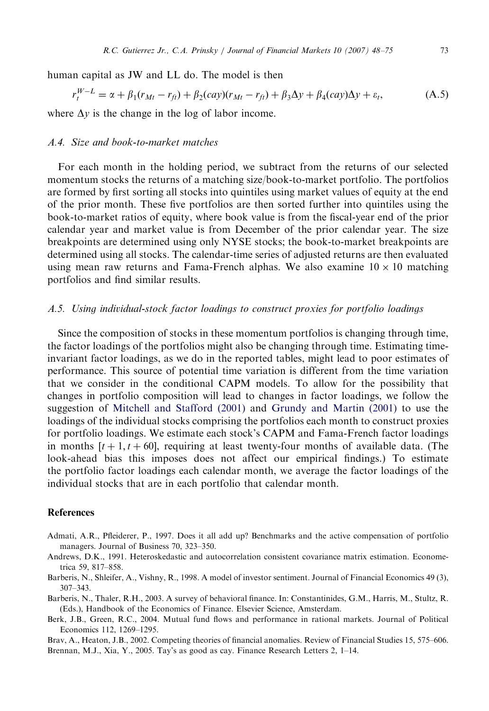<span id="page-25-0"></span>human capital as JW and LL do. The model is then

$$
r_t^{W-L} = \alpha + \beta_1 (r_{Mt} - r_{ft}) + \beta_2 (cay)(r_{Mt} - r_{ft}) + \beta_3 \Delta y + \beta_4 (cay)\Delta y + \varepsilon_t,
$$
 (A.5)

where  $\Delta y$  is the change in the log of labor income.

# A.4. Size and book-to-market matches

For each month in the holding period, we subtract from the returns of our selected momentum stocks the returns of a matching size/book-to-market portfolio. The portfolios are formed by first sorting all stocks into quintiles using market values of equity at the end of the prior month. These five portfolios are then sorted further into quintiles using the book-to-market ratios of equity, where book value is from the fiscal-year end of the prior calendar year and market value is from December of the prior calendar year. The size breakpoints are determined using only NYSE stocks; the book-to-market breakpoints are determined using all stocks. The calendar-time series of adjusted returns are then evaluated using mean raw returns and Fama-French alphas. We also examine  $10 \times 10$  matching portfolios and find similar results.

# A.5. Using individual-stock factor loadings to construct proxies for portfolio loadings

Since the composition of stocks in these momentum portfolios is changing through time, the factor loadings of the portfolios might also be changing through time. Estimating timeinvariant factor loadings, as we do in the reported tables, might lead to poor estimates of performance. This source of potential time variation is different from the time variation that we consider in the conditional CAPM models. To allow for the possibility that changes in portfolio composition will lead to changes in factor loadings, we follow the suggestion of [Mitchell and Stafford \(2001\)](#page-27-0) and [Grundy and Martin \(2001\)](#page-26-0) to use the loadings of the individual stocks comprising the portfolios each month to construct proxies for portfolio loadings. We estimate each stock's CAPM and Fama-French factor loadings in months  $[t + 1, t + 60]$ , requiring at least twenty-four months of available data. (The look-ahead bias this imposes does not affect our empirical findings.) To estimate the portfolio factor loadings each calendar month, we average the factor loadings of the individual stocks that are in each portfolio that calendar month.

## **References**

- Admati, A.R., Pfleiderer, P., 1997. Does it all add up? Benchmarks and the active compensation of portfolio managers. Journal of Business 70, 323–350.
- Andrews, D.K., 1991. Heteroskedastic and autocorrelation consistent covariance matrix estimation. Econometrica 59, 817–858.
- Barberis, N., Shleifer, A., Vishny, R., 1998. A model of investor sentiment. Journal of Financial Economics 49 (3), 307–343.
- Barberis, N., Thaler, R.H., 2003. A survey of behavioral finance. In: Constantinides, G.M., Harris, M., Stultz, R. (Eds.), Handbook of the Economics of Finance. Elsevier Science, Amsterdam.
- Berk, J.B., Green, R.C., 2004. Mutual fund flows and performance in rational markets. Journal of Political Economics 112, 1269–1295.

Brav, A., Heaton, J.B., 2002. Competing theories of financial anomalies. Review of Financial Studies 15, 575–606. Brennan, M.J., Xia, Y., 2005. Tay's as good as cay. Finance Research Letters 2, 1–14.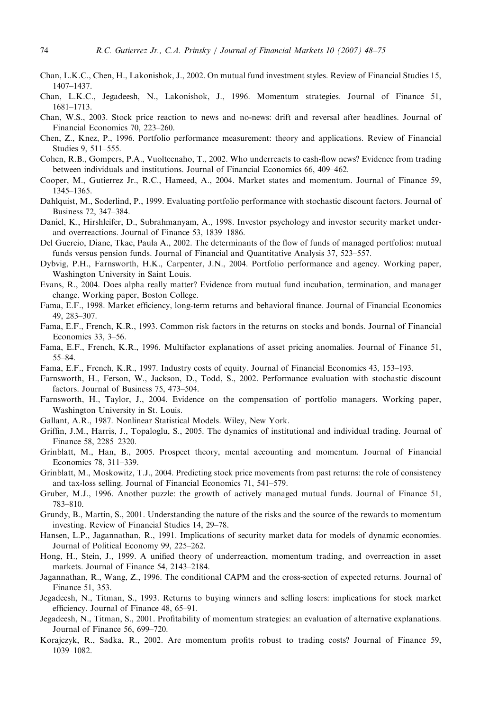- <span id="page-26-0"></span>Chan, L.K.C., Chen, H., Lakonishok, J., 2002. On mutual fund investment styles. Review of Financial Studies 15, 1407–1437.
- Chan, L.K.C., Jegadeesh, N., Lakonishok, J., 1996. Momentum strategies. Journal of Finance 51, 1681–1713.
- Chan, W.S., 2003. Stock price reaction to news and no-news: drift and reversal after headlines. Journal of Financial Economics 70, 223–260.
- Chen, Z., Knez, P., 1996. Portfolio performance measurement: theory and applications. Review of Financial Studies 9, 511–555.
- Cohen, R.B., Gompers, P.A., Vuolteenaho, T., 2002. Who underreacts to cash-flow news? Evidence from trading between individuals and institutions. Journal of Financial Economics 66, 409–462.
- Cooper, M., Gutierrez Jr., R.C., Hameed, A., 2004. Market states and momentum. Journal of Finance 59, 1345–1365.
- Dahlquist, M., Soderlind, P., 1999. Evaluating portfolio performance with stochastic discount factors. Journal of Business 72, 347–384.
- Daniel, K., Hirshleifer, D., Subrahmanyam, A., 1998. Investor psychology and investor security market underand overreactions. Journal of Finance 53, 1839–1886.
- Del Guercio, Diane, Tkac, Paula A., 2002. The determinants of the flow of funds of managed portfolios: mutual funds versus pension funds. Journal of Financial and Quantitative Analysis 37, 523–557.
- Dybvig, P.H., Farnsworth, H.K., Carpenter, J.N., 2004. Portfolio performance and agency. Working paper, Washington University in Saint Louis.
- Evans, R., 2004. Does alpha really matter? Evidence from mutual fund incubation, termination, and manager change. Working paper, Boston College.
- Fama, E.F., 1998. Market efficiency, long-term returns and behavioral finance. Journal of Financial Economics 49, 283–307.
- Fama, E.F., French, K.R., 1993. Common risk factors in the returns on stocks and bonds. Journal of Financial Economics 33, 3–56.
- Fama, E.F., French, K.R., 1996. Multifactor explanations of asset pricing anomalies. Journal of Finance 51, 55–84.
- Fama, E.F., French, K.R., 1997. Industry costs of equity. Journal of Financial Economics 43, 153–193.
- Farnsworth, H., Ferson, W., Jackson, D., Todd, S., 2002. Performance evaluation with stochastic discount factors. Journal of Business 75, 473–504.
- Farnsworth, H., Taylor, J., 2004. Evidence on the compensation of portfolio managers. Working paper, Washington University in St. Louis.
- Gallant, A.R., 1987. Nonlinear Statistical Models. Wiley, New York.
- Griffin, J.M., Harris, J., Topaloglu, S., 2005. The dynamics of institutional and individual trading. Journal of Finance 58, 2285–2320.
- Grinblatt, M., Han, B., 2005. Prospect theory, mental accounting and momentum. Journal of Financial Economics 78, 311–339.
- Grinblatt, M., Moskowitz, T.J., 2004. Predicting stock price movements from past returns: the role of consistency and tax-loss selling. Journal of Financial Economics 71, 541–579.
- Gruber, M.J., 1996. Another puzzle: the growth of actively managed mutual funds. Journal of Finance 51, 783–810.
- Grundy, B., Martin, S., 2001. Understanding the nature of the risks and the source of the rewards to momentum investing. Review of Financial Studies 14, 29–78.
- Hansen, L.P., Jagannathan, R., 1991. Implications of security market data for models of dynamic economies. Journal of Political Economy 99, 225–262.
- Hong, H., Stein, J., 1999. A unified theory of underreaction, momentum trading, and overreaction in asset markets. Journal of Finance 54, 2143–2184.
- Jagannathan, R., Wang, Z., 1996. The conditional CAPM and the cross-section of expected returns. Journal of Finance 51, 353.
- Jegadeesh, N., Titman, S., 1993. Returns to buying winners and selling losers: implications for stock market efficiency. Journal of Finance 48, 65–91.
- Jegadeesh, N., Titman, S., 2001. Profitability of momentum strategies: an evaluation of alternative explanations. Journal of Finance 56, 699–720.
- Korajczyk, R., Sadka, R., 2002. Are momentum profits robust to trading costs? Journal of Finance 59, 1039–1082.